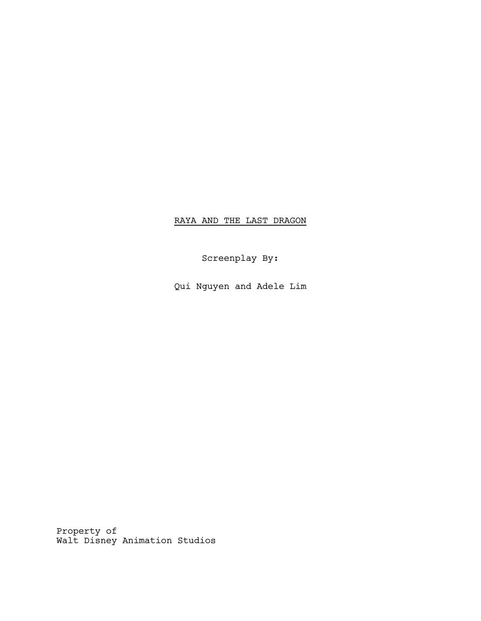# RAYA AND THE LAST DRAGON

Screenplay By:

Qui Nguyen and Adele Lim

Property of Walt Disney Animation Studios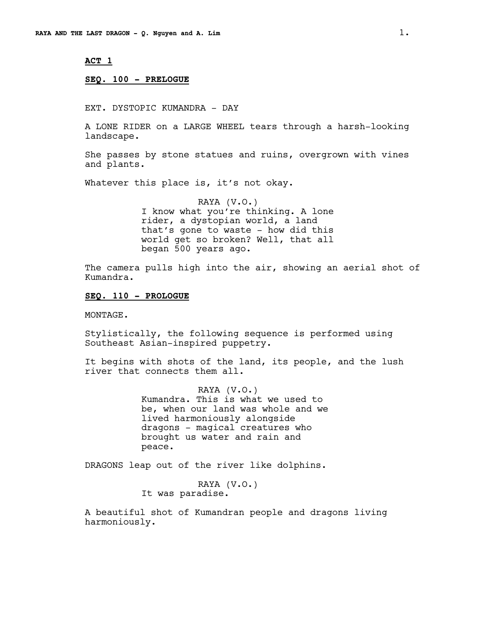# **ACT 1**

### **SEQ. 100 - PRELOGUE**

EXT. DYSTOPIC KUMANDRA - DAY

A LONE RIDER on a LARGE WHEEL tears through a harsh-looking landscape.

She passes by stone statues and ruins, overgrown with vines and plants.

Whatever this place is, it's not okay.

RAYA (V.O.) I know what you're thinking. A lone rider, a dystopian world, a land that's gone to waste - how did this world get so broken? Well, that all began 500 years ago.

The camera pulls high into the air, showing an aerial shot of Kumandra.

#### **SEQ. 110 - PROLOGUE**

MONTAGE.

Stylistically, the following sequence is performed using Southeast Asian-inspired puppetry.

It begins with shots of the land, its people, and the lush river that connects them all.

> RAYA (V.O.) Kumandra. This is what we used to be, when our land was whole and we lived harmoniously alongside dragons - magical creatures who brought us water and rain and peace.

DRAGONS leap out of the river like dolphins.

RAYA (V.O.) It was paradise.

A beautiful shot of Kumandran people and dragons living harmoniously.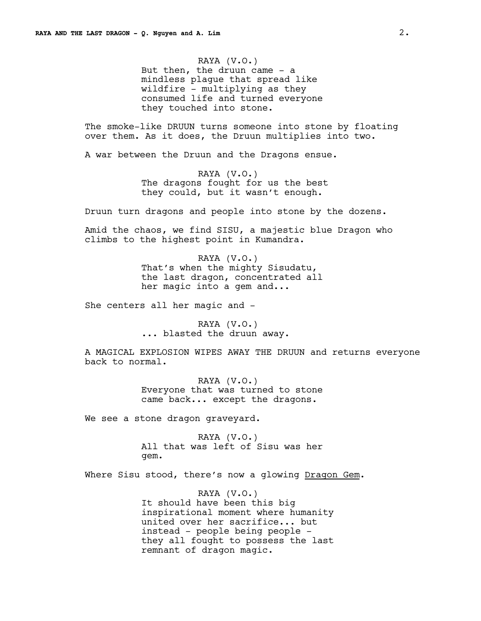RAYA (V.O.) But then, the druun came  $-$  a mindless plague that spread like wildfire - multiplying as they consumed life and turned everyone they touched into stone.

The smoke-like DRUUN turns someone into stone by floating over them. As it does, the Druun multiplies into two.

A war between the Druun and the Dragons ensue.

RAYA (V.O.) The dragons fought for us the best they could, but it wasn't enough.

Druun turn dragons and people into stone by the dozens.

Amid the chaos, we find SISU, a majestic blue Dragon who climbs to the highest point in Kumandra.

> RAYA (V.O.) That's when the mighty Sisudatu, the last dragon, concentrated all her magic into a gem and...

She centers all her magic and -

RAYA (V.O.) ... blasted the druun away.

A MAGICAL EXPLOSION WIPES AWAY THE DRUUN and returns everyone back to normal.

> RAYA (V.O.) Everyone that was turned to stone came back... except the dragons.

We see a stone dragon graveyard.

RAYA (V.O.) All that was left of Sisu was her gem.

Where Sisu stood, there's now a glowing Dragon Gem.

RAYA (V.O.) It should have been this big inspirational moment where humanity united over her sacrifice... but instead - people being people they all fought to possess the last remnant of dragon magic.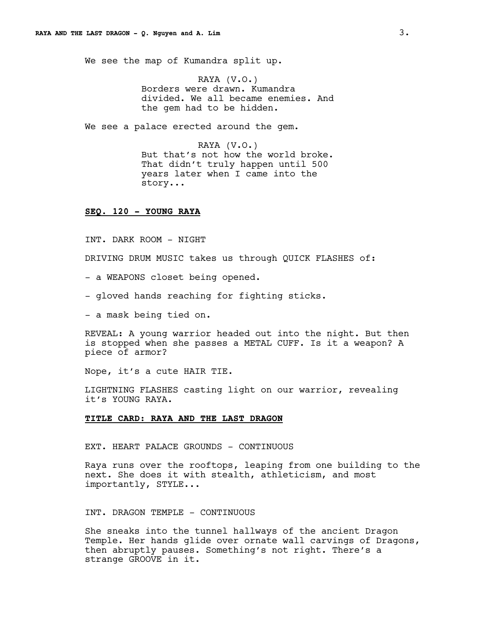We see the map of Kumandra split up.

RAYA (V.O.) Borders were drawn. Kumandra divided. We all became enemies. And the gem had to be hidden.

We see a palace erected around the gem.

RAYA (V.O.) But that's not how the world broke. That didn't truly happen until 500 years later when I came into the story...

# **SEQ. 120 - YOUNG RAYA**

INT. DARK ROOM - NIGHT

DRIVING DRUM MUSIC takes us through QUICK FLASHES of:

- a WEAPONS closet being opened.
- gloved hands reaching for fighting sticks.
- a mask being tied on.

REVEAL: A young warrior headed out into the night. But then is stopped when she passes a METAL CUFF. Is it a weapon? A piece of armor?

Nope, it's a cute HAIR TIE.

LIGHTNING FLASHES casting light on our warrior, revealing it's YOUNG RAYA.

### **TITLE CARD: RAYA AND THE LAST DRAGON**

EXT. HEART PALACE GROUNDS - CONTINUOUS

Raya runs over the rooftops, leaping from one building to the next. She does it with stealth, athleticism, and most importantly, STYLE...

INT. DRAGON TEMPLE - CONTINUOUS

She sneaks into the tunnel hallways of the ancient Dragon Temple. Her hands glide over ornate wall carvings of Dragons, then abruptly pauses. Something's not right. There's a strange GROOVE in it.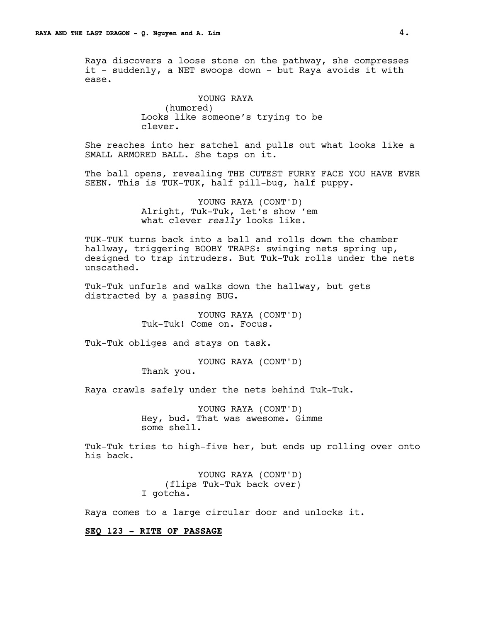Raya discovers a loose stone on the pathway, she compresses it - suddenly, a NET swoops down - but Raya avoids it with ease.

> YOUNG RAYA (humored) Looks like someone's trying to be clever.

She reaches into her satchel and pulls out what looks like a SMALL ARMORED BALL. She taps on it.

The ball opens, revealing THE CUTEST FURRY FACE YOU HAVE EVER SEEN. This is TUK-TUK, half pill-bug, half puppy.

> YOUNG RAYA (CONT'D) Alright, Tuk-Tuk, let's show 'em what clever *really* looks like.

TUK-TUK turns back into a ball and rolls down the chamber hallway, triggering BOOBY TRAPS: swinging nets spring up, designed to trap intruders. But Tuk-Tuk rolls under the nets unscathed.

Tuk-Tuk unfurls and walks down the hallway, but gets distracted by a passing BUG.

> YOUNG RAYA (CONT'D) Tuk-Tuk! Come on. Focus.

Tuk-Tuk obliges and stays on task.

YOUNG RAYA (CONT'D)

Thank you.

Raya crawls safely under the nets behind Tuk-Tuk.

YOUNG RAYA (CONT'D) Hey, bud. That was awesome. Gimme some shell.

Tuk-Tuk tries to high-five her, but ends up rolling over onto his back.

> YOUNG RAYA (CONT'D) (flips Tuk-Tuk back over) I gotcha.

Raya comes to a large circular door and unlocks it.

# **SEQ 123 - RITE OF PASSAGE**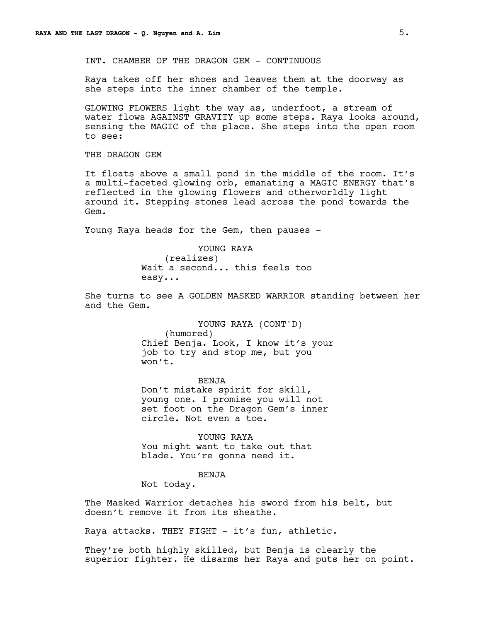INT. CHAMBER OF THE DRAGON GEM - CONTINUOUS

Raya takes off her shoes and leaves them at the doorway as she steps into the inner chamber of the temple.

GLOWING FLOWERS light the way as, underfoot, a stream of water flows AGAINST GRAVITY up some steps. Raya looks around, sensing the MAGIC of the place. She steps into the open room to see:

THE DRAGON GEM

It floats above a small pond in the middle of the room. It's a multi-faceted glowing orb, emanating a MAGIC ENERGY that's reflected in the glowing flowers and otherworldly light around it. Stepping stones lead across the pond towards the Gem.

Young Raya heads for the Gem, then pauses -

YOUNG RAYA

(realizes) Wait a second... this feels too easy...

She turns to see A GOLDEN MASKED WARRIOR standing between her and the Gem.

> YOUNG RAYA (CONT'D) (humored) Chief Benja. Look, I know it's your job to try and stop me, but you won't.

BENJA Don't mistake spirit for skill, young one. I promise you will not set foot on the Dragon Gem's inner circle. Not even a toe.

YOUNG RAYA You might want to take out that blade. You're gonna need it.

BENJA

Not today.

The Masked Warrior detaches his sword from his belt, but doesn't remove it from its sheathe.

Raya attacks. THEY FIGHT - it's fun, athletic.

They're both highly skilled, but Benja is clearly the superior fighter. He disarms her Raya and puts her on point.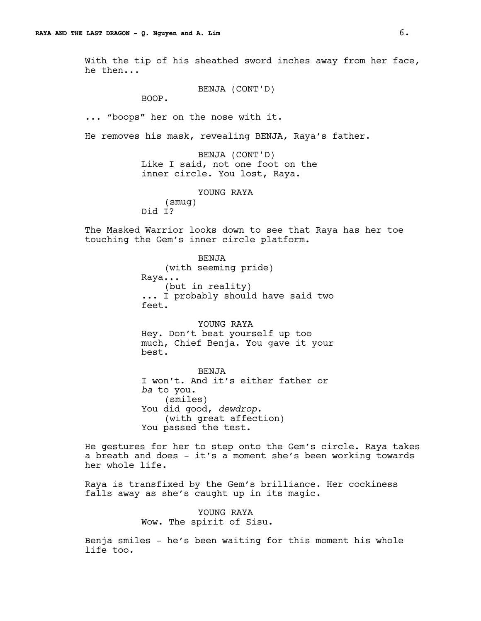With the tip of his sheathed sword inches away from her face, he then...

BENJA (CONT'D)

BOOP.

... "boops" her on the nose with it.

He removes his mask, revealing BENJA, Raya's father.

BENJA (CONT'D) Like I said, not one foot on the inner circle. You lost, Raya.

> YOUNG RAYA (smug)

Did I?

The Masked Warrior looks down to see that Raya has her toe touching the Gem's inner circle platform.

> BENJA (with seeming pride) Raya... (but in reality) ... I probably should have said two feet.

> YOUNG RAYA Hey. Don't beat yourself up too much, Chief Benja. You gave it your best.

BENJA I won't. And it's either father or *ba* to you. (smiles) You did good, *dewdrop*. (with great affection) You passed the test.

He gestures for her to step onto the Gem's circle. Raya takes a breath and does - it's a moment she's been working towards her whole life.

Raya is transfixed by the Gem's brilliance. Her cockiness falls away as she's caught up in its magic.

> YOUNG RAYA Wow. The spirit of Sisu.

Benja smiles - he's been waiting for this moment his whole life too.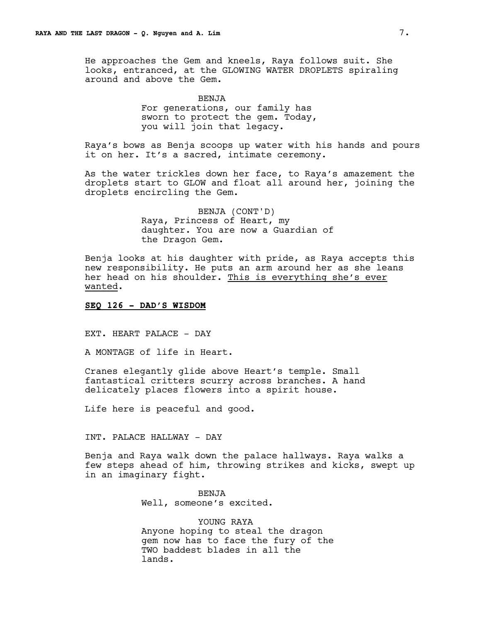He approaches the Gem and kneels, Raya follows suit. She looks, entranced, at the GLOWING WATER DROPLETS spiraling around and above the Gem.

> BENJA For generations, our family has sworn to protect the gem. Today, you will join that legacy.

Raya's bows as Benja scoops up water with his hands and pours it on her. It's a sacred, intimate ceremony.

As the water trickles down her face, to Raya's amazement the droplets start to GLOW and float all around her, joining the droplets encircling the Gem.

> BENJA (CONT'D) Raya, Princess of Heart, my daughter. You are now a Guardian of the Dragon Gem.

Benja looks at his daughter with pride, as Raya accepts this new responsibility. He puts an arm around her as she leans her head on his shoulder. This is everything she's ever wanted.

### **SEQ 126 - DAD'S WISDOM**

EXT. HEART PALACE - DAY

A MONTAGE of life in Heart.

Cranes elegantly glide above Heart's temple. Small fantastical critters scurry across branches. A hand delicately places flowers into a spirit house.

Life here is peaceful and good.

INT. PALACE HALLWAY - DAY

Benja and Raya walk down the palace hallways. Raya walks a few steps ahead of him, throwing strikes and kicks, swept up in an imaginary fight.

> BENJA Well, someone's excited.

YOUNG RAYA Anyone hoping to steal the dragon gem now has to face the fury of the TWO baddest blades in all the lands.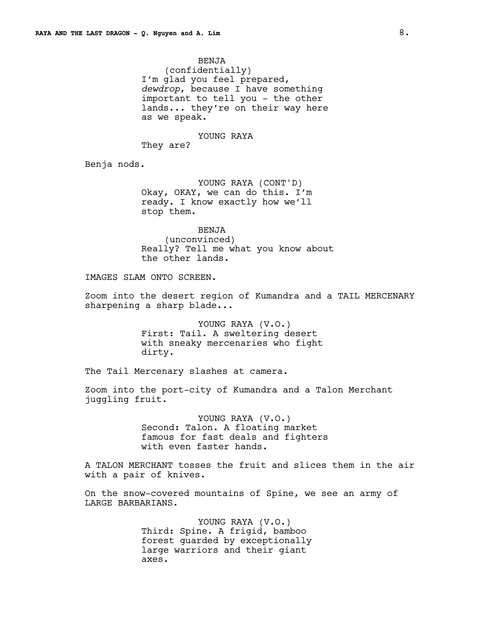BENJA (confidentially) I'm glad you feel prepared, *dewdrop*, because I have something important to tell you - the other lands... they're on their way here as we speak.

YOUNG RAYA

They are?

Benja nods.

YOUNG RAYA (CONT'D) Okay, OKAY, we can do this. I'm ready. I know exactly how we'll stop them.

BENJA (unconvinced) Really? Tell me what you know about the other lands.

IMAGES SLAM ONTO SCREEN.

Zoom into the desert region of Kumandra and a TAIL MERCENARY sharpening a sharp blade...

> YOUNG RAYA (V.O.) First: Tail. A sweltering desert with sneaky mercenaries who fight dirty.

The Tail Mercenary slashes at camera.

Zoom into the port-city of Kumandra and a Talon Merchant juggling fruit.

> YOUNG RAYA (V.O.) Second: Talon. A floating market famous for fast deals and fighters with even faster hands.

A TALON MERCHANT tosses the fruit and slices them in the air with a pair of knives.

On the snow-covered mountains of Spine, we see an army of LARGE BARBARIANS.

> YOUNG RAYA (V.O.) Third: Spine. A frigid, bamboo forest guarded by exceptionally large warriors and their giant axes.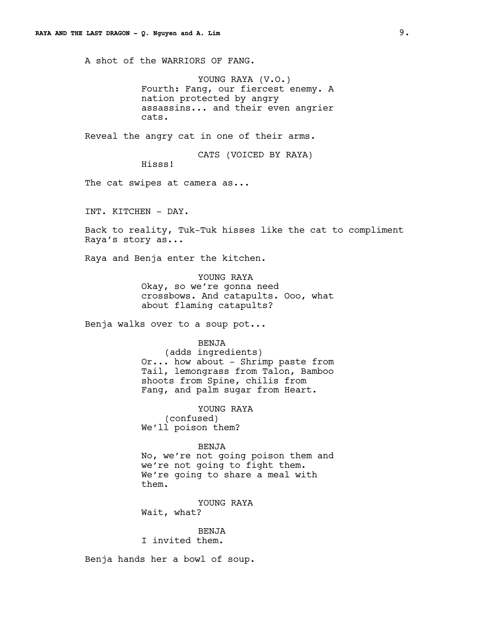A shot of the WARRIORS OF FANG.

YOUNG RAYA (V.O.) Fourth: Fang, our fiercest enemy. A nation protected by angry assassins... and their even angrier cats.

Reveal the angry cat in one of their arms.

CATS (VOICED BY RAYA)

Hisss!

The cat swipes at camera as...

INT. KITCHEN - DAY.

Back to reality, Tuk-Tuk hisses like the cat to compliment Raya's story as...

Raya and Benja enter the kitchen.

YOUNG RAYA Okay, so we're gonna need crossbows. And catapults. Ooo, what about flaming catapults?

Benja walks over to a soup pot...

BENJA (adds ingredients) Or... how about - Shrimp paste from Tail, lemongrass from Talon, Bamboo shoots from Spine, chilis from Fang, and palm sugar from Heart.

YOUNG RAYA (confused) We'll poison them?

BENJA No, we're not going poison them and we're not going to fight them. We're going to share a meal with them.

YOUNG RAYA Wait, what?

BENJA I invited them.

Benja hands her a bowl of soup.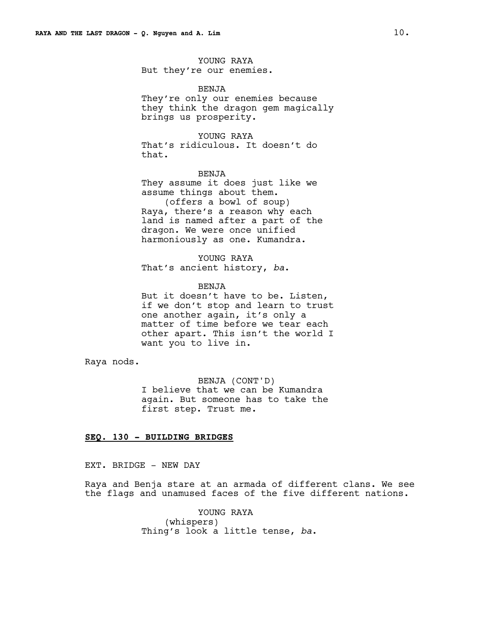YOUNG RAYA But they're our enemies.

#### BENJA

They're only our enemies because they think the dragon gem magically brings us prosperity.

## YOUNG RAYA

That's ridiculous. It doesn't do that.

### BENJA

They assume it does just like we assume things about them. (offers a bowl of soup)

Raya, there's a reason why each land is named after a part of the dragon. We were once unified harmoniously as one. Kumandra.

# YOUNG RAYA That's ancient history, *ba*.

#### BENJA

But it doesn't have to be. Listen, if we don't stop and learn to trust one another again, it's only a matter of time before we tear each other apart. This isn't the world I want you to live in.

Raya nods.

BENJA (CONT'D) I believe that we can be Kumandra again. But someone has to take the first step. Trust me.

# **SEQ. 130 - BUILDING BRIDGES**

EXT. BRIDGE - NEW DAY

Raya and Benja stare at an armada of different clans. We see the flags and unamused faces of the five different nations.

> YOUNG RAYA (whispers) Thing's look a little tense, *ba*.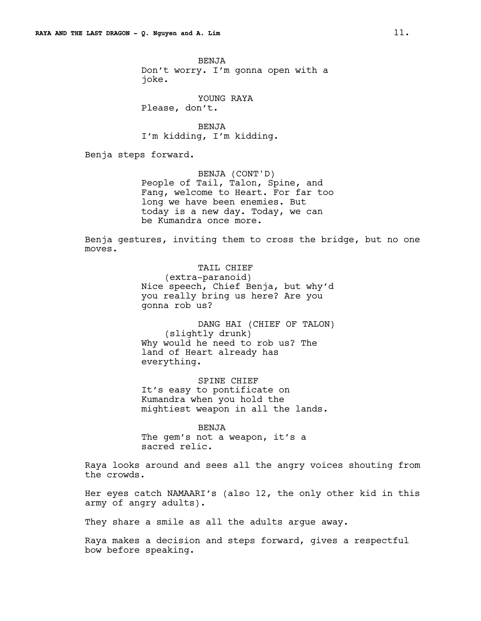BENJA Don't worry. I'm gonna open with a joke.

YOUNG RAYA Please, don't.

BENJA I'm kidding, I'm kidding.

Benja steps forward.

BENJA (CONT'D) People of Tail, Talon, Spine, and Fang, welcome to Heart. For far too long we have been enemies. But today is a new day. Today, we can be Kumandra once more.

Benja gestures, inviting them to cross the bridge, but no one moves.

> TAIL CHIEF (extra-paranoid) Nice speech, Chief Benja, but why'd you really bring us here? Are you gonna rob us?

> DANG HAI (CHIEF OF TALON) (slightly drunk) Why would he need to rob us? The land of Heart already has everything.

SPINE CHIEF It's easy to pontificate on Kumandra when you hold the mightiest weapon in all the lands.

BENJA The gem's not a weapon, it's a sacred relic.

Raya looks around and sees all the angry voices shouting from the crowds.

Her eyes catch NAMAARI's (also 12, the only other kid in this army of angry adults).

They share a smile as all the adults argue away.

Raya makes a decision and steps forward, gives a respectful bow before speaking.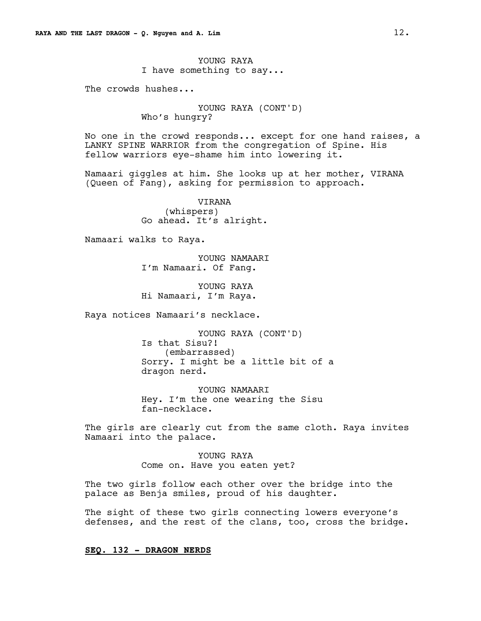YOUNG RAYA I have something to say...

The crowds hushes...

YOUNG RAYA (CONT'D) Who's hungry?

No one in the crowd responds... except for one hand raises, a LANKY SPINE WARRIOR from the congregation of Spine. His fellow warriors eye-shame him into lowering it.

Namaari giggles at him. She looks up at her mother, VIRANA (Queen of Fang), asking for permission to approach.

> VIRANA (whispers) Go ahead. It's alright.

Namaari walks to Raya.

YOUNG NAMAARI I'm Namaari. Of Fang.

YOUNG RAYA Hi Namaari, I'm Raya.

Raya notices Namaari's necklace.

YOUNG RAYA (CONT'D) Is that Sisu?! (embarrassed) Sorry. I might be a little bit of a dragon nerd.

YOUNG NAMAARI Hey. I'm the one wearing the Sisu fan-necklace.

The girls are clearly cut from the same cloth. Raya invites Namaari into the palace.

> YOUNG RAYA Come on. Have you eaten yet?

The two girls follow each other over the bridge into the palace as Benja smiles, proud of his daughter.

The sight of these two girls connecting lowers everyone's defenses, and the rest of the clans, too, cross the bridge.

**SEQ. 132 - DRAGON NERDS**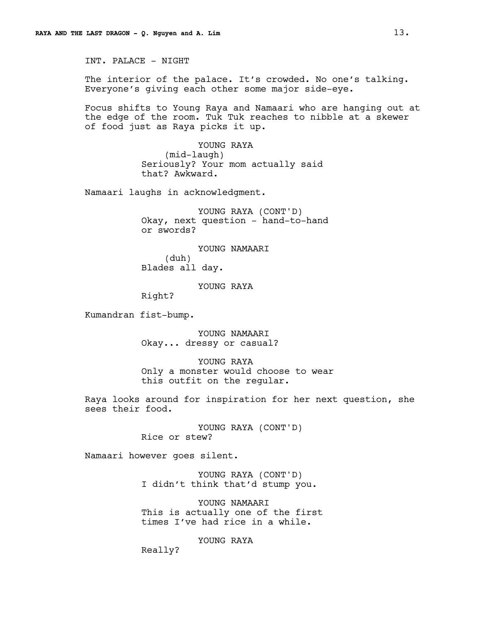INT. PALACE - NIGHT

The interior of the palace. It's crowded. No one's talking. Everyone's giving each other some major side-eye.

Focus shifts to Young Raya and Namaari who are hanging out at the edge of the room. Tuk Tuk reaches to nibble at a skewer of food just as Raya picks it up.

> YOUNG RAYA (mid-laugh) Seriously? Your mom actually said that? Awkward.

Namaari laughs in acknowledgment.

YOUNG RAYA (CONT'D) Okay, next question - hand-to-hand or swords?

YOUNG NAMAARI (duh) Blades all day.

# YOUNG RAYA

Right?

Kumandran fist-bump.

YOUNG NAMAARI Okay... dressy or casual?

YOUNG RAYA Only a monster would choose to wear this outfit on the regular.

Raya looks around for inspiration for her next question, she sees their food.

> YOUNG RAYA (CONT'D) Rice or stew?

Namaari however goes silent.

YOUNG RAYA (CONT'D) I didn't think that'd stump you.

YOUNG NAMAARI This is actually one of the first times I've had rice in a while.

YOUNG RAYA

Really?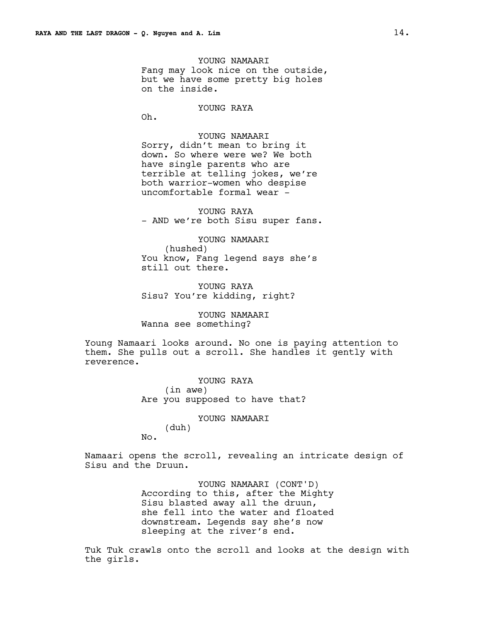YOUNG NAMAARI Fang may look nice on the outside, but we have some pretty big holes on the inside.

# YOUNG RAYA

Oh.

No.

YOUNG NAMAARI Sorry, didn't mean to bring it down. So where were we? We both have single parents who are terrible at telling jokes, we're both warrior-women who despise uncomfortable formal wear -

YOUNG RAYA - AND we're both Sisu super fans.

YOUNG NAMAARI (hushed) You know, Fang legend says she's still out there.

YOUNG RAYA Sisu? You're kidding, right?

YOUNG NAMAARI Wanna see something?

Young Namaari looks around. No one is paying attention to them. She pulls out a scroll. She handles it gently with reverence.

> YOUNG RAYA (in awe) Are you supposed to have that?

> > YOUNG NAMAARI (duh)

Namaari opens the scroll, revealing an intricate design of Sisu and the Druun.

> YOUNG NAMAARI (CONT'D) According to this, after the Mighty Sisu blasted away all the druun, she fell into the water and floated downstream. Legends say she's now sleeping at the river's end.

Tuk Tuk crawls onto the scroll and looks at the design with the girls.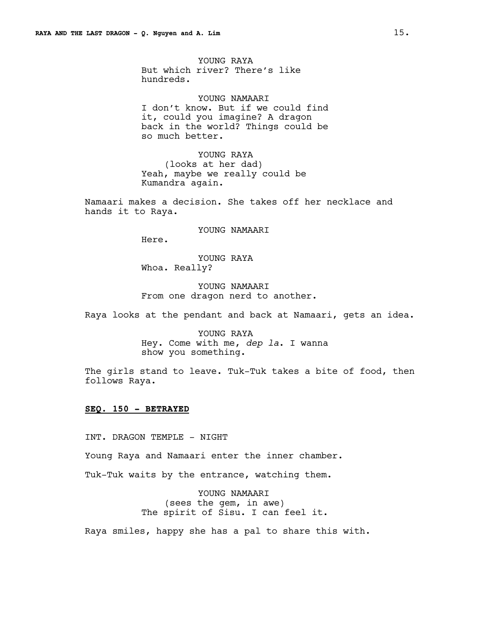YOUNG RAYA But which river? There's like hundreds.

YOUNG NAMAARI I don't know. But if we could find it, could you imagine? A dragon back in the world? Things could be so much better.

YOUNG RAYA (looks at her dad) Yeah, maybe we really could be Kumandra again.

Namaari makes a decision. She takes off her necklace and hands it to Raya.

YOUNG NAMAARI

Here.

YOUNG RAYA Whoa. Really?

YOUNG NAMAARI From one dragon nerd to another.

Raya looks at the pendant and back at Namaari, gets an idea.

YOUNG RAYA Hey. Come with me, *dep la*. I wanna show you something.

The girls stand to leave. Tuk-Tuk takes a bite of food, then follows Raya.

# **SEQ. 150 - BETRAYED**

INT. DRAGON TEMPLE - NIGHT

Young Raya and Namaari enter the inner chamber.

Tuk-Tuk waits by the entrance, watching them.

YOUNG NAMAARI (sees the gem, in awe) The spirit of Sisu. I can feel it.

Raya smiles, happy she has a pal to share this with.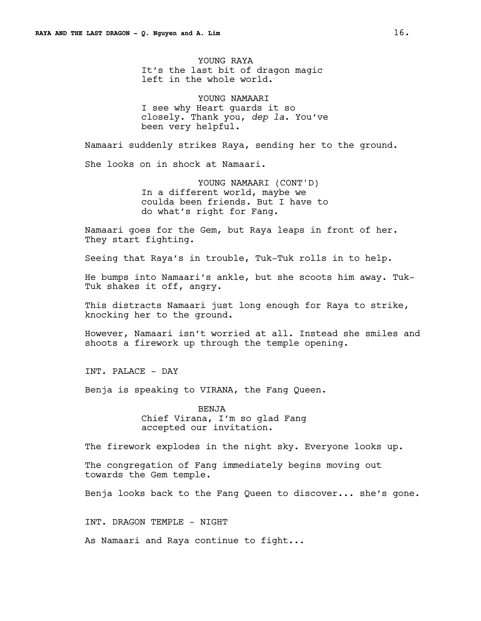YOUNG RAYA It's the last bit of dragon magic left in the whole world.

YOUNG NAMAARI I see why Heart guards it so closely. Thank you, *dep la*. You've been very helpful.

Namaari suddenly strikes Raya, sending her to the ground.

She looks on in shock at Namaari.

YOUNG NAMAARI (CONT'D) In a different world, maybe we coulda been friends. But I have to do what's right for Fang.

Namaari goes for the Gem, but Raya leaps in front of her. They start fighting.

Seeing that Raya's in trouble, Tuk-Tuk rolls in to help.

He bumps into Namaari's ankle, but she scoots him away. Tuk-Tuk shakes it off, angry.

This distracts Namaari just long enough for Raya to strike, knocking her to the ground.

However, Namaari isn't worried at all. Instead she smiles and shoots a firework up through the temple opening.

INT. PALACE - DAY

Benja is speaking to VIRANA, the Fang Queen.

BENJA Chief Virana, I'm so glad Fang accepted our invitation.

The firework explodes in the night sky. Everyone looks up.

The congregation of Fang immediately begins moving out towards the Gem temple.

Benja looks back to the Fang Queen to discover... she's gone.

INT. DRAGON TEMPLE - NIGHT

As Namaari and Raya continue to fight...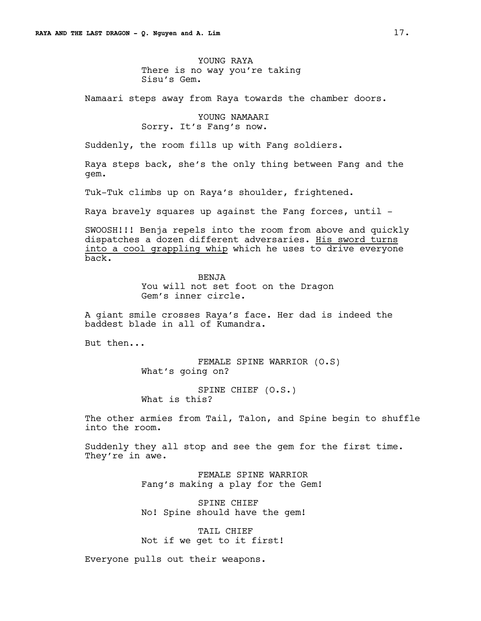YOUNG RAYA There is no way you're taking Sisu's Gem.

Namaari steps away from Raya towards the chamber doors.

YOUNG NAMAARI Sorry. It's Fang's now.

Suddenly, the room fills up with Fang soldiers.

Raya steps back, she's the only thing between Fang and the gem.

Tuk-Tuk climbs up on Raya's shoulder, frightened.

Raya bravely squares up against the Fang forces, until -

SWOOSH!!! Benja repels into the room from above and quickly dispatches a dozen different adversaries. His sword turns into a cool grappling whip which he uses to drive everyone back.

> BENJA You will not set foot on the Dragon Gem's inner circle.

A giant smile crosses Raya's face. Her dad is indeed the baddest blade in all of Kumandra.

But then...

FEMALE SPINE WARRIOR (O.S) What's going on?

SPINE CHIEF (O.S.) What is this?

The other armies from Tail, Talon, and Spine begin to shuffle into the room.

Suddenly they all stop and see the gem for the first time. They're in awe.

> FEMALE SPINE WARRIOR Fang's making a play for the Gem!

SPINE CHIEF No! Spine should have the gem!

TAIL CHIEF Not if we get to it first!

Everyone pulls out their weapons.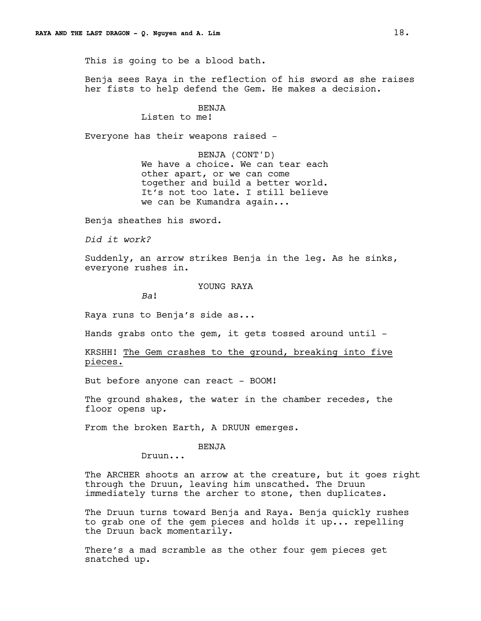This is going to be a blood bath.

Benja sees Raya in the reflection of his sword as she raises her fists to help defend the Gem. He makes a decision.

# BENJA

Listen to me!

Everyone has their weapons raised -

BENJA (CONT'D) We have a choice. We can tear each other apart, or we can come together and build a better world. It's not too late. I still believe we can be Kumandra again...

Benja sheathes his sword.

*Did it work?*

Suddenly, an arrow strikes Benja in the leg. As he sinks, everyone rushes in.

YOUNG RAYA

*Ba*!

Raya runs to Benja's side as...

Hands grabs onto the gem, it gets tossed around until  $-$ 

KRSHH! The Gem crashes to the ground, breaking into five pieces.

But before anyone can react - BOOM!

The ground shakes, the water in the chamber recedes, the floor opens up.

From the broken Earth, A DRUUN emerges.

# BENJA

Druun...

The ARCHER shoots an arrow at the creature, but it goes right through the Druun, leaving him unscathed. The Druun immediately turns the archer to stone, then duplicates.

The Druun turns toward Benja and Raya. Benja quickly rushes to grab one of the gem pieces and holds it up... repelling the Druun back momentarily.

There's a mad scramble as the other four gem pieces get snatched up.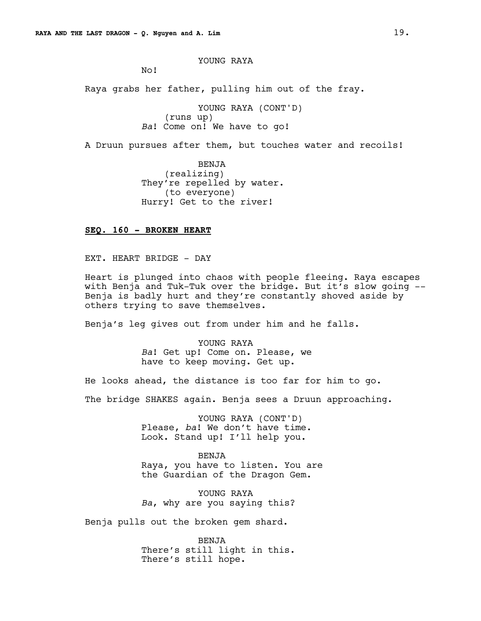YOUNG RAYA

No!

Raya grabs her father, pulling him out of the fray.

YOUNG RAYA (CONT'D) (runs up) *Ba*! Come on! We have to go!

A Druun pursues after them, but touches water and recoils!

BENJA (realizing) They're repelled by water. (to everyone) Hurry! Get to the river!

# **SEQ. 160 - BROKEN HEART**

EXT. HEART BRIDGE - DAY

Heart is plunged into chaos with people fleeing. Raya escapes with Benja and Tuk-Tuk over the bridge. But it's slow going -- Benja is badly hurt and they're constantly shoved aside by others trying to save themselves.

Benja's leg gives out from under him and he falls.

YOUNG RAYA *Ba*! Get up! Come on. Please, we have to keep moving. Get up.

He looks ahead, the distance is too far for him to go.

The bridge SHAKES again. Benja sees a Druun approaching.

YOUNG RAYA (CONT'D) Please, *ba*! We don't have time. Look. Stand up! I'll help you.

BENJA Raya, you have to listen. You are the Guardian of the Dragon Gem.

YOUNG RAYA *Ba*, why are you saying this?

Benja pulls out the broken gem shard.

BENJA There's still light in this. There's still hope.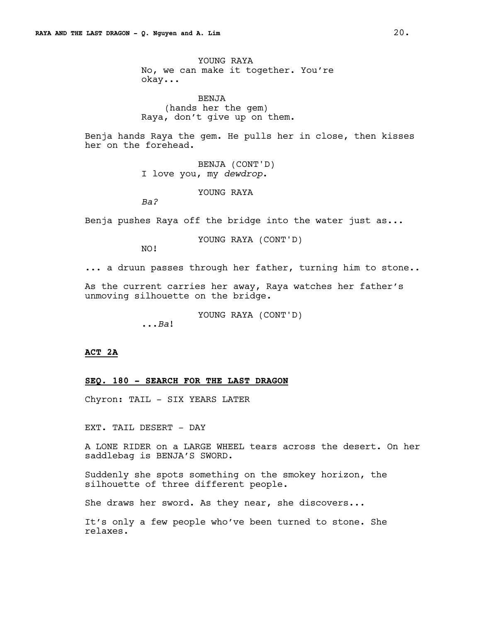YOUNG RAYA No, we can make it together. You're okay...

BENJA (hands her the gem) Raya, don't give up on them.

Benja hands Raya the gem. He pulls her in close, then kisses her on the forehead.

> BENJA (CONT'D) I love you, my *dewdrop*.

> > YOUNG RAYA

*Ba?*

Benja pushes Raya off the bridge into the water just as...

YOUNG RAYA (CONT'D)

NO!

... a druun passes through her father, turning him to stone..

As the current carries her away, Raya watches her father's unmoving silhouette on the bridge.

YOUNG RAYA (CONT'D)

...*Ba*!

# **ACT 2A**

### **SEQ. 180 - SEARCH FOR THE LAST DRAGON**

Chyron: TAIL - SIX YEARS LATER

EXT. TAIL DESERT - DAY

A LONE RIDER on a LARGE WHEEL tears across the desert. On her saddlebag is BENJA'S SWORD.

Suddenly she spots something on the smokey horizon, the silhouette of three different people.

She draws her sword. As they near, she discovers...

It's only a few people who've been turned to stone. She relaxes.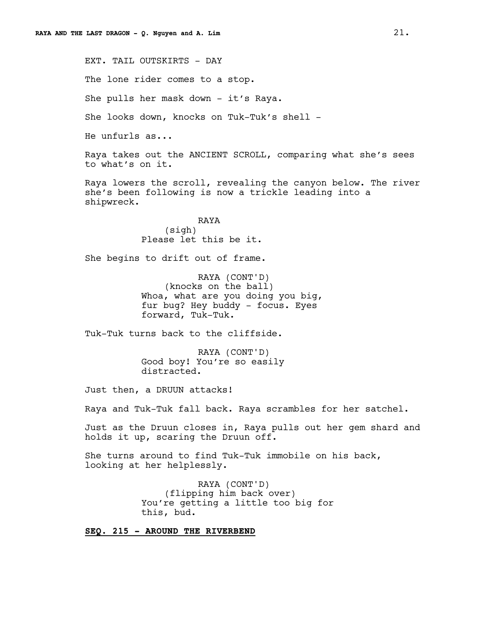EXT. TAIL OUTSKIRTS - DAY The lone rider comes to a stop. She pulls her mask down - it's Raya. She looks down, knocks on Tuk-Tuk's shell - He unfurls as... Raya takes out the ANCIENT SCROLL, comparing what she's sees to what's on it. Raya lowers the scroll, revealing the canyon below. The river she's been following is now a trickle leading into a shipwreck. RAYA (sigh) Please let this be it. She begins to drift out of frame. RAYA (CONT'D) (knocks on the ball) Whoa, what are you doing you big, fur bug? Hey buddy - focus. Eyes forward, Tuk-Tuk.

Tuk-Tuk turns back to the cliffside.

RAYA (CONT'D) Good boy! You're so easily distracted.

Just then, a DRUUN attacks!

Raya and Tuk-Tuk fall back. Raya scrambles for her satchel.

Just as the Druun closes in, Raya pulls out her gem shard and holds it up, scaring the Druun off.

She turns around to find Tuk-Tuk immobile on his back, looking at her helplessly.

> RAYA (CONT'D) (flipping him back over) You're getting a little too big for this, bud.

**SEQ. 215 - AROUND THE RIVERBEND**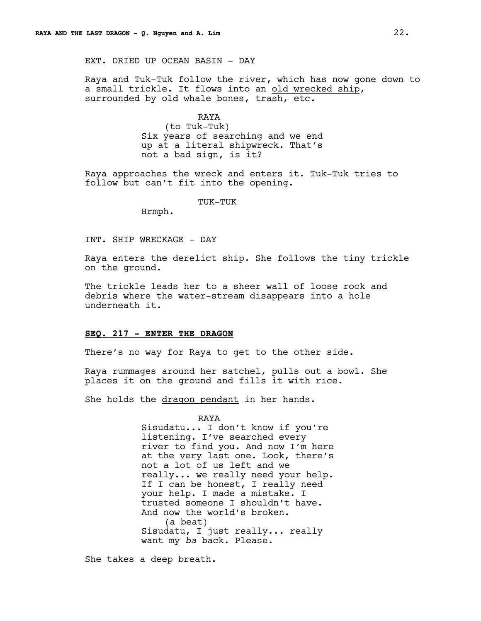EXT. DRIED UP OCEAN BASIN - DAY

Raya and Tuk-Tuk follow the river, which has now gone down to a small trickle. It flows into an old wrecked ship, surrounded by old whale bones, trash, etc.

> RAYA (to Tuk-Tuk) Six years of searching and we end up at a literal shipwreck. That's not a bad sign, is it?

Raya approaches the wreck and enters it. Tuk-Tuk tries to follow but can't fit into the opening.

TUK-TUK

Hrmph.

INT. SHIP WRECKAGE - DAY

Raya enters the derelict ship. She follows the tiny trickle on the ground.

The trickle leads her to a sheer wall of loose rock and debris where the water-stream disappears into a hole underneath it.

### **SEQ. 217 - ENTER THE DRAGON**

There's no way for Raya to get to the other side.

Raya rummages around her satchel, pulls out a bowl. She places it on the ground and fills it with rice.

She holds the dragon pendant in her hands.

RAYA

Sisudatu... I don't know if you're listening. I've searched every river to find you. And now I'm here at the very last one. Look, there's not a lot of us left and we really... we really need your help. If I can be honest, I really need your help. I made a mistake. I trusted someone I shouldn't have. And now the world's broken. (a beat) Sisudatu, I just really... really want my *ba* back. Please.

She takes a deep breath.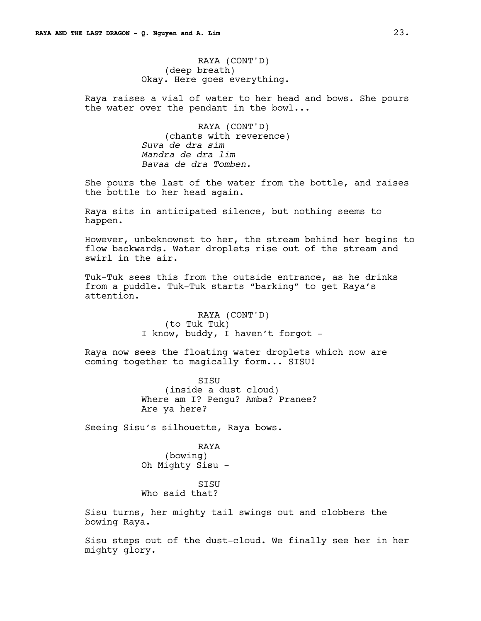RAYA (CONT'D) (deep breath) Okay. Here goes everything.

Raya raises a vial of water to her head and bows. She pours the water over the pendant in the bowl...

> RAYA (CONT'D) (chants with reverence) *Suva de dra sim Mandra de dra lim Bavaa de dra Tomben.*

She pours the last of the water from the bottle, and raises the bottle to her head again.

Raya sits in anticipated silence, but nothing seems to happen.

However, unbeknownst to her, the stream behind her begins to flow backwards. Water droplets rise out of the stream and swirl in the air.

Tuk-Tuk sees this from the outside entrance, as he drinks from a puddle. Tuk-Tuk starts "barking" to get Raya's attention.

> RAYA (CONT'D) (to Tuk Tuk) I know, buddy, I haven't forgot -

Raya now sees the floating water droplets which now are coming together to magically form... SISU!

> SISU (inside a dust cloud) Where am I? Pengu? Amba? Pranee? Are ya here?

Seeing Sisu's silhouette, Raya bows.

# RAYA (bowing) Oh Mighty Sisu -

SISU Who said that?

Sisu turns, her mighty tail swings out and clobbers the bowing Raya.

Sisu steps out of the dust-cloud. We finally see her in her mighty glory.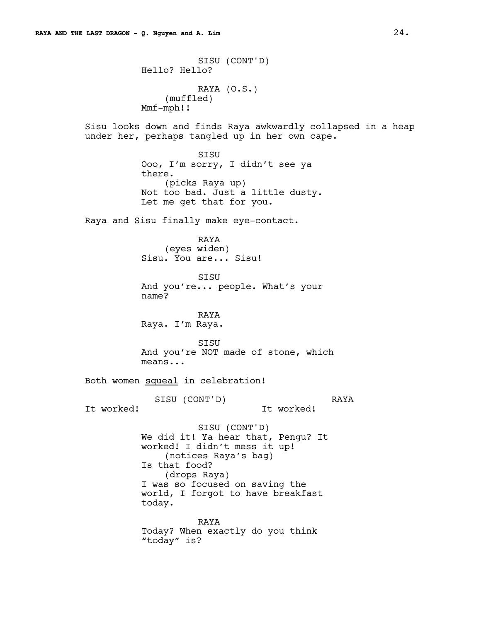SISU (CONT'D) Hello? Hello? RAYA (O.S.) (muffled) Mmf-mph!! Sisu looks down and finds Raya awkwardly collapsed in a heap under her, perhaps tangled up in her own cape. SISU Ooo, I'm sorry, I didn't see ya there. (picks Raya up) Not too bad. Just a little dusty. Let me get that for you. Raya and Sisu finally make eye-contact. RAYA (eyes widen) Sisu. You are... Sisu! SISU And you're... people. What's your name? RAYA Raya. I'm Raya. SISU And you're NOT made of stone, which means... Both women squeal in celebration! SISU (CONT'D) It worked! RAYA It worked! SISU (CONT'D) We did it! Ya hear that, Pengu? It worked! I didn't mess it up! (notices Raya's bag) Is that food? (drops Raya) I was so focused on saving the world, I forgot to have breakfast today. RAYA Today? When exactly do you think "today" is?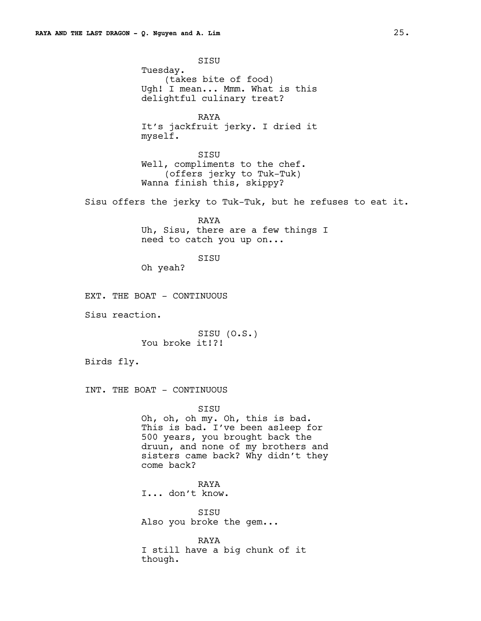SISU Tuesday. (takes bite of food) Ugh! I mean... Mmm. What is this delightful culinary treat?

RAYA It's jackfruit jerky. I dried it myself.

SISU Well, compliments to the chef. (offers jerky to Tuk-Tuk) Wanna finish this, skippy?

Sisu offers the jerky to Tuk-Tuk, but he refuses to eat it.

RAYA Uh, Sisu, there are a few things I need to catch you up on...

SISU

Oh yeah?

EXT. THE BOAT - CONTINUOUS

Sisu reaction.

SISU (O.S.) You broke it!?!

Birds fly.

INT. THE BOAT - CONTINUOUS

SISU Oh, oh, oh my. Oh, this is bad. This is bad. I've been asleep for 500 years, you brought back the druun, and none of my brothers and sisters came back? Why didn't they come back?

RAYA I... don't know.

SISU Also you broke the gem...

RAYA I still have a big chunk of it though.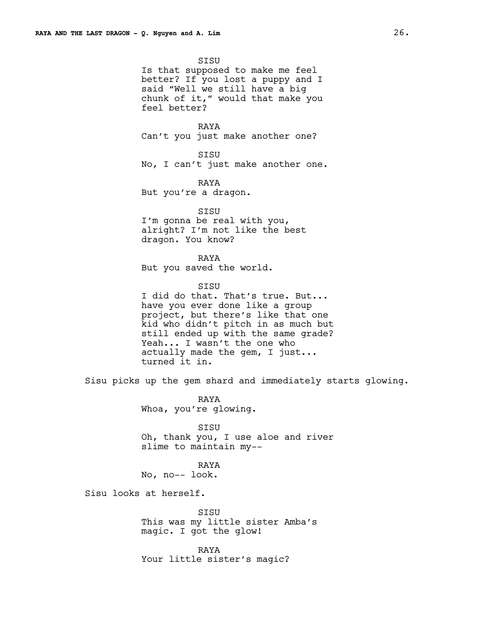SISU Is that supposed to make me feel better? If you lost a puppy and I said "Well we still have a big chunk of it," would that make you feel better?

RAYA Can't you just make another one?

SISU No, I can't just make another one.

RAYA But you're a dragon.

SISU I'm gonna be real with you, alright? I'm not like the best dragon. You know?

RAYA But you saved the world.

**STSU** 

I did do that. That's true. But... have you ever done like a group project, but there's like that one kid who didn't pitch in as much but still ended up with the same grade? Yeah... I wasn't the one who actually made the gem, I just... turned it in.

Sisu picks up the gem shard and immediately starts glowing.

RAYA Whoa, you're glowing.

SISU Oh, thank you, I use aloe and river slime to maintain my--

RAYA No, no-- look.

Sisu looks at herself.

SISU This was my little sister Amba's magic. I got the glow!

RAYA Your little sister's magic?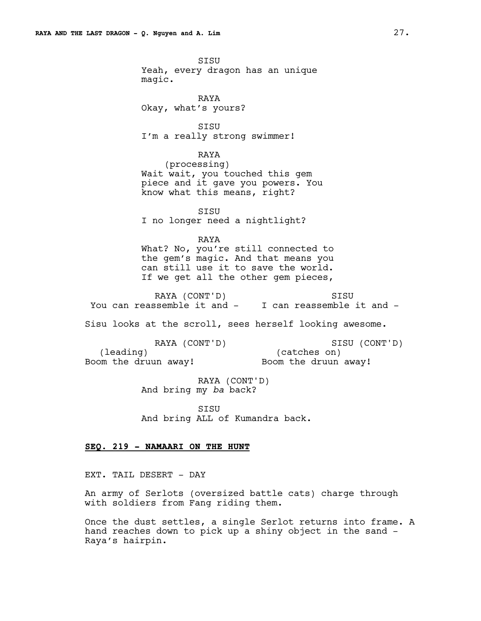**STSU** Yeah, every dragon has an unique magic. RAYA Okay, what's yours? SISU I'm a really strong swimmer! RAYA (processing) Wait wait, you touched this gem piece and it gave you powers. You know what this means, right? SISU I no longer need a nightlight? RAYA What? No, you're still connected to the gem's magic. And that means you can still use it to save the world. If we get all the other gem pieces, RAYA (CONT'D) You can reassemble it and - I can reassemble it and -**STSU** Sisu looks at the scroll, sees herself looking awesome. RAYA (CONT'D) (leading) Boom the druun away! SISU (CONT'D) (catches on) Boom the druun away! RAYA (CONT'D) And bring my *ba* back? SISU

And bring ALL of Kumandra back.

#### **SEQ. 219 - NAMAARI ON THE HUNT**

EXT. TAIL DESERT - DAY

An army of Serlots (oversized battle cats) charge through with soldiers from Fang riding them.

Once the dust settles, a single Serlot returns into frame. A hand reaches down to pick up a shiny object in the sand - Raya's hairpin.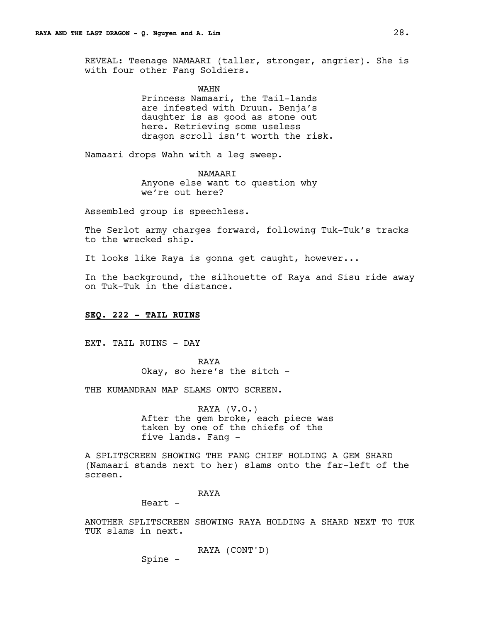REVEAL: Teenage NAMAARI (taller, stronger, angrier). She is with four other Fang Soldiers.

WAHN

Princess Namaari, the Tail-lands are infested with Druun. Benja's daughter is as good as stone out here. Retrieving some useless dragon scroll isn't worth the risk.

Namaari drops Wahn with a leg sweep.

NAMAARI Anyone else want to question why we're out here?

Assembled group is speechless.

The Serlot army charges forward, following Tuk-Tuk's tracks to the wrecked ship.

It looks like Raya is gonna get caught, however...

In the background, the silhouette of Raya and Sisu ride away on Tuk-Tuk in the distance.

# **SEQ. 222 - TAIL RUINS**

EXT. TAIL RUINS - DAY

RAYA Okay, so here's the sitch -

THE KUMANDRAN MAP SLAMS ONTO SCREEN.

RAYA (V.O.) After the gem broke, each piece was taken by one of the chiefs of the five lands. Fang -

A SPLITSCREEN SHOWING THE FANG CHIEF HOLDING A GEM SHARD (Namaari stands next to her) slams onto the far-left of the screen.

RAYA

Heart -

ANOTHER SPLITSCREEN SHOWING RAYA HOLDING A SHARD NEXT TO TUK TUK slams in next.

RAYA (CONT'D)

Spine -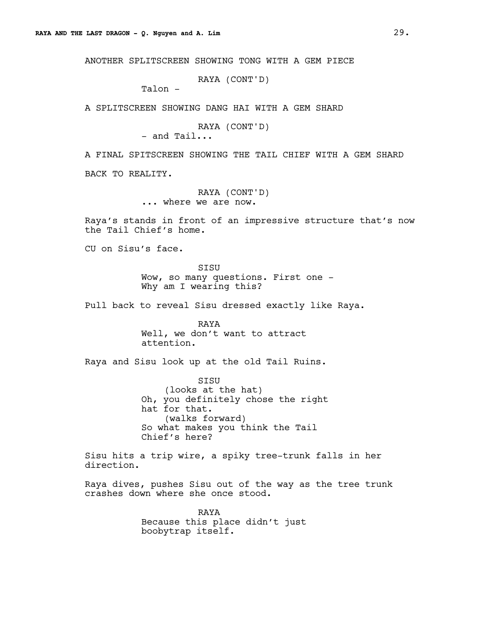ANOTHER SPLITSCREEN SHOWING TONG WITH A GEM PIECE

RAYA (CONT'D)

Talon -

A SPLITSCREEN SHOWING DANG HAI WITH A GEM SHARD

RAYA (CONT'D)

- and Tail...

A FINAL SPITSCREEN SHOWING THE TAIL CHIEF WITH A GEM SHARD

BACK TO REALITY.

RAYA (CONT'D) ... where we are now.

Raya's stands in front of an impressive structure that's now the Tail Chief's home.

CU on Sisu's face.

**STSU** Wow, so many questions. First one - Why am I wearing this?

Pull back to reveal Sisu dressed exactly like Raya.

RAYA Well, we don't want to attract attention.

Raya and Sisu look up at the old Tail Ruins.

SISU (looks at the hat) Oh, you definitely chose the right hat for that. (walks forward) So what makes you think the Tail Chief's here?

Sisu hits a trip wire, a spiky tree-trunk falls in her direction.

Raya dives, pushes Sisu out of the way as the tree trunk crashes down where she once stood.

> RAYA Because this place didn't just boobytrap itself.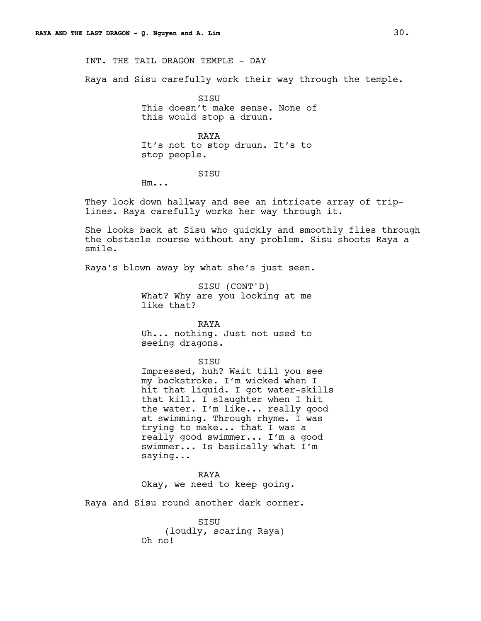INT. THE TAIL DRAGON TEMPLE - DAY

Raya and Sisu carefully work their way through the temple.

**STSU** This doesn't make sense. None of this would stop a druun.

RAYA It's not to stop druun. It's to stop people.

#### SISU

Hm...

They look down hallway and see an intricate array of triplines. Raya carefully works her way through it.

She looks back at Sisu who quickly and smoothly flies through the obstacle course without any problem. Sisu shoots Raya a smile.

Raya's blown away by what she's just seen.

SISU (CONT'D) What? Why are you looking at me like that?

RAYA Uh... nothing. Just not used to seeing dragons.

#### SISU

Impressed, huh? Wait till you see my backstroke. I'm wicked when I hit that liquid. I got water-skills that kill. I slaughter when I hit the water. I'm like... really good at swimming. Through rhyme. I was trying to make... that I was a really good swimmer... I'm a good swimmer... Is basically what I'm saying...

#### RAYA

Okay, we need to keep going.

Raya and Sisu round another dark corner.

SISU (loudly, scaring Raya) Oh no!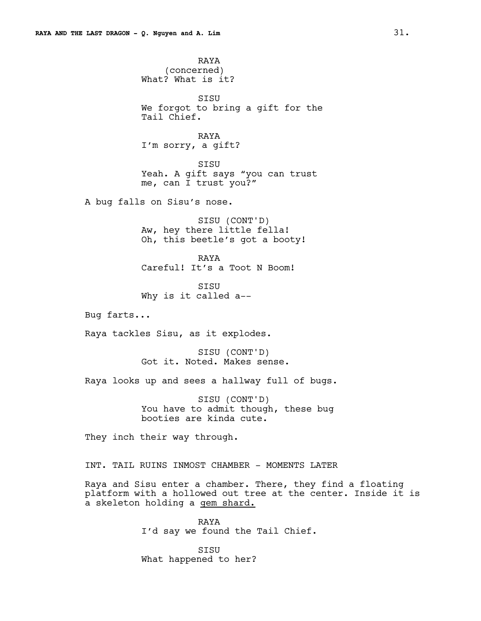RAYA (concerned) What? What is it? SISU We forgot to bring a gift for the Tail Chief. RAYA I'm sorry, a gift? SISU Yeah. A gift says "you can trust me, can I trust you?" A bug falls on Sisu's nose. SISU (CONT'D) Aw, hey there little fella! Oh, this beetle's got a booty! RAYA Careful! It's a Toot N Boom! **STSU** Why is it called a-- Bug farts... Raya tackles Sisu, as it explodes. SISU (CONT'D) Got it. Noted. Makes sense. Raya looks up and sees a hallway full of bugs. SISU (CONT'D) You have to admit though, these bug booties are kinda cute. They inch their way through.

INT. TAIL RUINS INMOST CHAMBER - MOMENTS LATER

Raya and Sisu enter a chamber. There, they find a floating platform with a hollowed out tree at the center. Inside it is a skeleton holding a gem shard.

> RAYA I'd say we found the Tail Chief.

SISU What happened to her?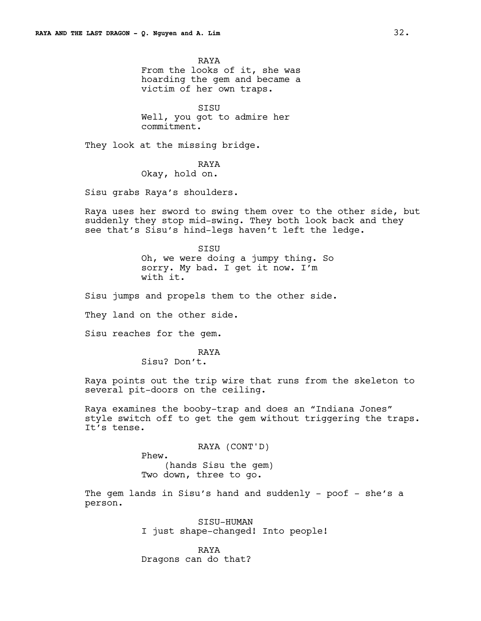RAYA From the looks of it, she was hoarding the gem and became a victim of her own traps.

SISU Well, you got to admire her commitment.

They look at the missing bridge.

RAYA

Okay, hold on.

Sisu grabs Raya's shoulders.

Raya uses her sword to swing them over to the other side, but suddenly they stop mid-swing. They both look back and they see that's Sisu's hind-legs haven't left the ledge.

> SISU Oh, we were doing a jumpy thing. So sorry. My bad. I get it now. I'm with it.

Sisu jumps and propels them to the other side.

They land on the other side.

Sisu reaches for the gem.

RAYA

Sisu? Don't.

Raya points out the trip wire that runs from the skeleton to several pit-doors on the ceiling.

Raya examines the booby-trap and does an "Indiana Jones" style switch off to get the gem without triggering the traps. It's tense.

> RAYA (CONT'D) Phew. (hands Sisu the gem) Two down, three to go.

The gem lands in Sisu's hand and suddenly - poof - she's a person.

> SISU-HUMAN I just shape-changed! Into people!

RAYA Dragons can do that?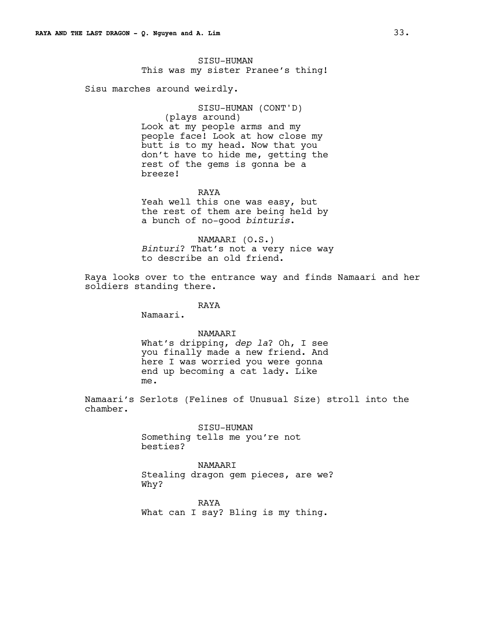SISU-HUMAN This was my sister Pranee's thing!

Sisu marches around weirdly.

SISU-HUMAN (CONT'D) (plays around) Look at my people arms and my people face! Look at how close my butt is to my head. Now that you don't have to hide me, getting the rest of the gems is gonna be a breeze!

RAYA Yeah well this one was easy, but

the rest of them are being held by a bunch of no-good *binturis*.

NAMAARI (O.S.) *Binturi*? That's not a very nice way to describe an old friend.

Raya looks over to the entrance way and finds Namaari and her soldiers standing there.

RAYA

Namaari.

#### NAMAARI

What's dripping, *dep la*? Oh, I see you finally made a new friend. And here I was worried you were gonna end up becoming a cat lady. Like me.

Namaari's Serlots (Felines of Unusual Size) stroll into the chamber.

> SISU-HUMAN Something tells me you're not besties?

NAMAARI Stealing dragon gem pieces, are we? Why?

RAYA What can I say? Bling is my thing.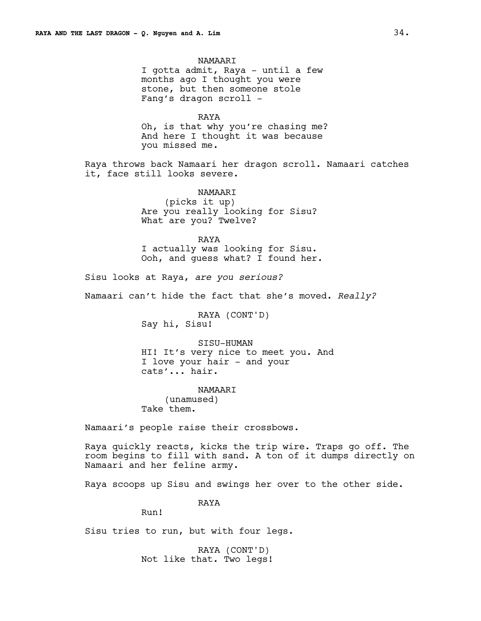NAMAARI I gotta admit, Raya - until a few months ago I thought you were stone, but then someone stole Fang's dragon scroll - RAYA Oh, is that why you're chasing me? And here I thought it was because you missed me. Raya throws back Namaari her dragon scroll. Namaari catches it, face still looks severe. NAMAARI (picks it up) Are you really looking for Sisu? What are you? Twelve? RAYA I actually was looking for Sisu. Ooh, and guess what? I found her. Sisu looks at Raya, *are you serious?*  Namaari can't hide the fact that she's moved. *Really?* RAYA (CONT'D) Say hi, Sisu! SISU-HUMAN HI! It's very nice to meet you. And I love your hair - and your cats'... hair. NAMAARI (unamused) Take them. Namaari's people raise their crossbows. Raya quickly reacts, kicks the trip wire. Traps go off. The room begins to fill with sand. A ton of it dumps directly on Namaari and her feline army. Raya scoops up Sisu and swings her over to the other side. RAYA

Run!

Sisu tries to run, but with four legs.

RAYA (CONT'D) Not like that. Two legs!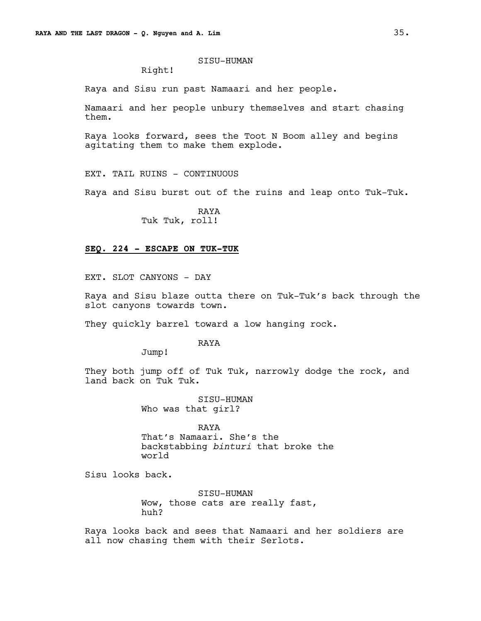## SISU-HUMAN

Right!

Raya and Sisu run past Namaari and her people.

Namaari and her people unbury themselves and start chasing them.

Raya looks forward, sees the Toot N Boom alley and begins agitating them to make them explode.

EXT. TAIL RUINS - CONTINUOUS

Raya and Sisu burst out of the ruins and leap onto Tuk-Tuk.

RAYA Tuk Tuk, roll!

#### **SEQ. 224 - ESCAPE ON TUK-TUK**

EXT. SLOT CANYONS - DAY

Raya and Sisu blaze outta there on Tuk-Tuk's back through the slot canyons towards town.

They quickly barrel toward a low hanging rock.

## RAYA

Jump!

They both jump off of Tuk Tuk, narrowly dodge the rock, and land back on Tuk Tuk.

> SISU-HUMAN Who was that girl?

RAYA That's Namaari. She's the backstabbing *binturi* that broke the world

Sisu looks back.

SISU-HUMAN Wow, those cats are really fast, huh?

Raya looks back and sees that Namaari and her soldiers are all now chasing them with their Serlots.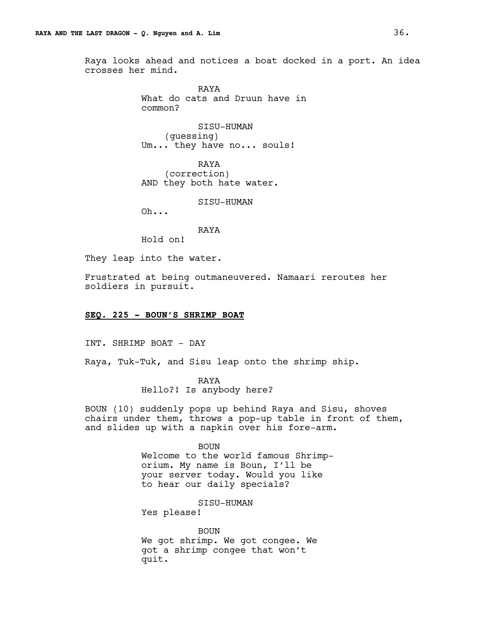Raya looks ahead and notices a boat docked in a port. An idea crosses her mind.

> RAYA What do cats and Druun have in common?

SISU-HUMAN (guessing) Um... they have no... souls!

RAYA (correction) AND they both hate water.

SISU-HUMAN

Oh...

RAYA

Hold on!

They leap into the water.

Frustrated at being outmaneuvered. Namaari reroutes her soldiers in pursuit.

# **SEQ. 225 - BOUN'S SHRIMP BOAT**

INT. SHRIMP BOAT - DAY

Raya, Tuk-Tuk, and Sisu leap onto the shrimp ship.

RAYA Hello?! Is anybody here?

BOUN (10) suddenly pops up behind Raya and Sisu, shoves chairs under them, throws a pop-up table in front of them, and slides up with a napkin over his fore-arm.

> BOUN Welcome to the world famous Shrimporium. My name is Boun, I'll be your server today. Would you like to hear our daily specials?

> > SISU-HUMAN

Yes please!

BOUN We got shrimp. We got congee. We got a shrimp congee that won't quit.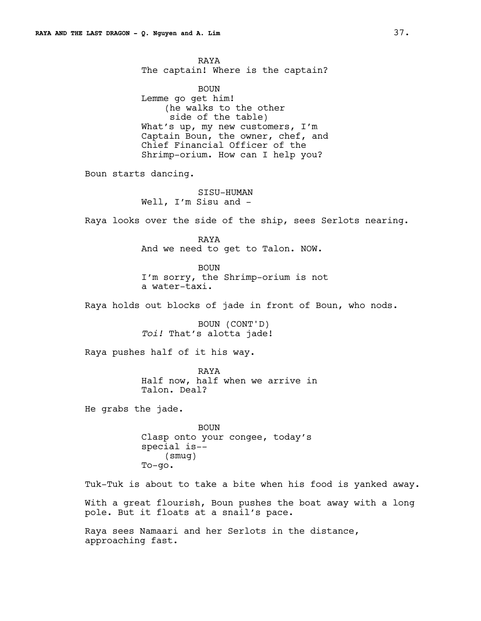RAYA The captain! Where is the captain? BOUN Lemme go get him! (he walks to the other side of the table) What's up, my new customers, I'm Captain Boun, the owner, chef, and Chief Financial Officer of the Shrimp-orium. How can I help you? Boun starts dancing. SISU-HUMAN Well, I'm Sisu and -Raya looks over the side of the ship, sees Serlots nearing. RAYA And we need to get to Talon. NOW. BOUN I'm sorry, the Shrimp-orium is not a water-taxi. Raya holds out blocks of jade in front of Boun, who nods. BOUN (CONT'D) *Toi!* That's alotta jade! Raya pushes half of it his way. RAYA Half now, half when we arrive in Talon. Deal? He grabs the jade. BOUN Clasp onto your congee, today's special is-- (smug) To-go. Tuk-Tuk is about to take a bite when his food is yanked away. With a great flourish, Boun pushes the boat away with a long pole. But it floats at a snail's pace.

Raya sees Namaari and her Serlots in the distance, approaching fast.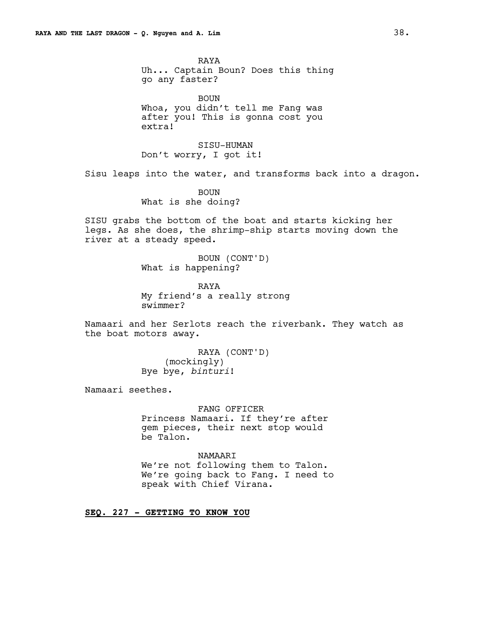RAYA Uh... Captain Boun? Does this thing go any faster?

BOUN Whoa, you didn't tell me Fang was after you! This is gonna cost you extra!

SISU-HUMAN Don't worry, I got it!

Sisu leaps into the water, and transforms back into a dragon.

BOUN What is she doing?

SISU grabs the bottom of the boat and starts kicking her legs. As she does, the shrimp-ship starts moving down the river at a steady speed.

> BOUN (CONT'D) What is happening?

RAYA My friend's a really strong swimmer?

Namaari and her Serlots reach the riverbank. They watch as the boat motors away.

> RAYA (CONT'D) (mockingly) Bye bye, *binturi*!

Namaari seethes.

FANG OFFICER Princess Namaari. If they're after gem pieces, their next stop would be Talon.

NAMAARI We're not following them to Talon. We're going back to Fang. I need to speak with Chief Virana.

**SEQ. 227 - GETTING TO KNOW YOU**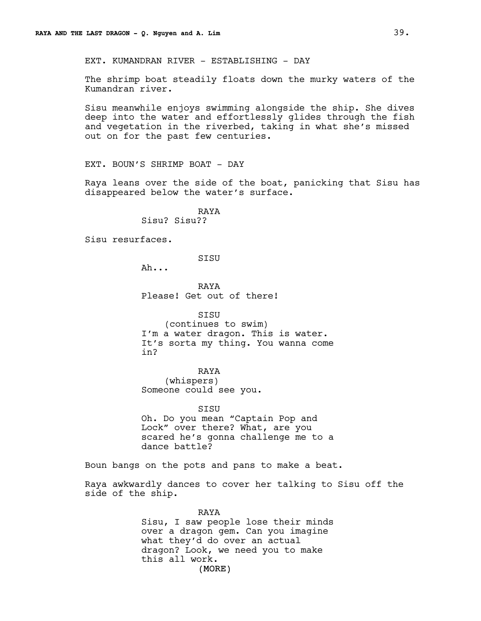EXT. KUMANDRAN RIVER - ESTABLISHING - DAY

The shrimp boat steadily floats down the murky waters of the Kumandran river.

Sisu meanwhile enjoys swimming alongside the ship. She dives deep into the water and effortlessly glides through the fish and vegetation in the riverbed, taking in what she's missed out on for the past few centuries.

EXT. BOUN'S SHRIMP BOAT - DAY

Raya leans over the side of the boat, panicking that Sisu has disappeared below the water's surface.

> RAYA Sisu? Sisu??

Sisu resurfaces.

SISU

Ah...

RAYA Please! Get out of there!

SISU

(continues to swim) I'm a water dragon. This is water. It's sorta my thing. You wanna come in?

RAYA

(whispers) Someone could see you.

SISU Oh. Do you mean "Captain Pop and Lock" over there? What, are you scared he's gonna challenge me to a dance battle?

Boun bangs on the pots and pans to make a beat.

Raya awkwardly dances to cover her talking to Sisu off the side of the ship.

> (MORE) RAYA Sisu, I saw people lose their minds over a dragon gem. Can you imagine what they'd do over an actual dragon? Look, we need you to make this all work.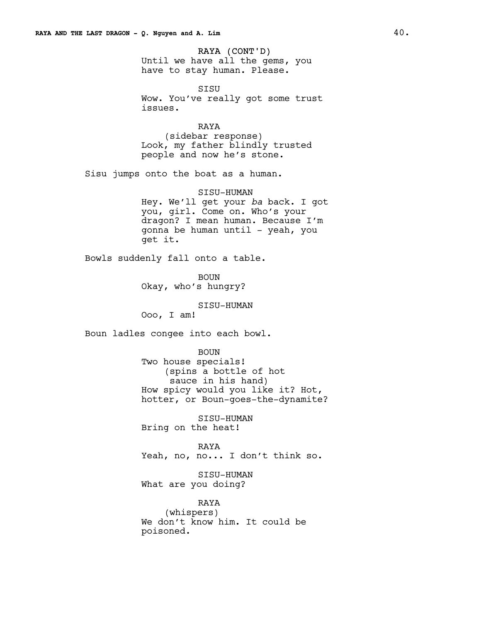RAYA (CONT'D) Until we have all the gems, you have to stay human. Please.

SISU Wow. You've really got some trust issues.

RAYA (sidebar response) Look, my father blindly trusted people and now he's stone.

Sisu jumps onto the boat as a human.

SISU-HUMAN Hey. We'll get your *ba* back. I got you, girl. Come on. Who's your dragon? I mean human. Because I'm gonna be human until - yeah, you get it.

Bowls suddenly fall onto a table.

BOUN Okay, who's hungry?

SISU-HUMAN

Ooo, I am!

Boun ladles congee into each bowl.

BOUN Two house specials! (spins a bottle of hot sauce in his hand) How spicy would you like it? Hot, hotter, or Boun-goes-the-dynamite?

SISU-HUMAN Bring on the heat!

RAYA Yeah, no, no... I don't think so.

SISU-HUMAN What are you doing?

RAYA (whispers) We don't know him. It could be poisoned.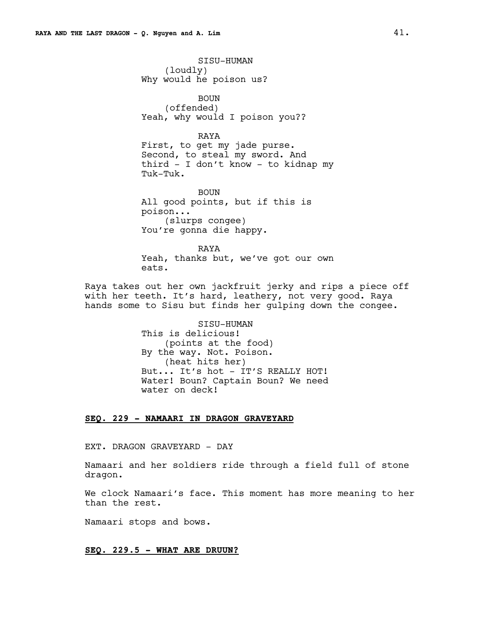SISU-HUMAN (loudly) Why would he poison us?

BOUN (offended) Yeah, why would I poison you??

RAYA First, to get my jade purse. Second, to steal my sword. And third - I don't know - to kidnap my Tuk-Tuk.

BOUN All good points, but if this is poison... (slurps congee) You're gonna die happy.

RAYA Yeah, thanks but, we've got our own eats.

Raya takes out her own jackfruit jerky and rips a piece off with her teeth. It's hard, leathery, not very good. Raya hands some to Sisu but finds her gulping down the congee.

> SISU-HUMAN This is delicious! (points at the food) By the way. Not. Poison. (heat hits her) But... It's hot - IT'S REALLY HOT! Water! Boun? Captain Boun? We need water on deck!

## **SEQ. 229 - NAMAARI IN DRAGON GRAVEYARD**

## EXT. DRAGON GRAVEYARD - DAY

Namaari and her soldiers ride through a field full of stone dragon.

We clock Namaari's face. This moment has more meaning to her than the rest.

Namaari stops and bows.

## **SEQ. 229.5 - WHAT ARE DRUUN?**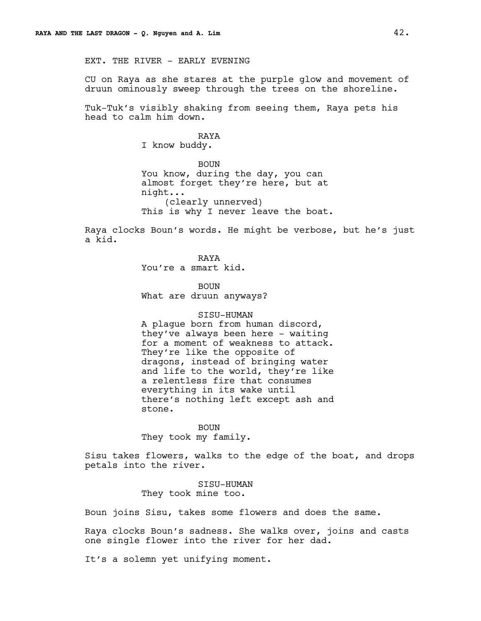EXT. THE RIVER - EARLY EVENING

CU on Raya as she stares at the purple glow and movement of druun ominously sweep through the trees on the shoreline.

Tuk-Tuk's visibly shaking from seeing them, Raya pets his head to calm him down.

> RAYA I know buddy.

BOUN You know, during the day, you can almost forget they're here, but at night... (clearly unnerved) This is why I never leave the boat.

Raya clocks Boun's words. He might be verbose, but he's just a kid.

> RAYA You're a smart kid.

BOUN What are druun anyways?

#### SISU-HUMAN

A plague born from human discord, they've always been here - waiting for a moment of weakness to attack. They're like the opposite of dragons, instead of bringing water and life to the world, they're like a relentless fire that consumes everything in its wake until there's nothing left except ash and stone.

BOUN They took my family.

Sisu takes flowers, walks to the edge of the boat, and drops petals into the river.

> SISU-HUMAN They took mine too.

Boun joins Sisu, takes some flowers and does the same.

Raya clocks Boun's sadness. She walks over, joins and casts one single flower into the river for her dad.

It's a solemn yet unifying moment.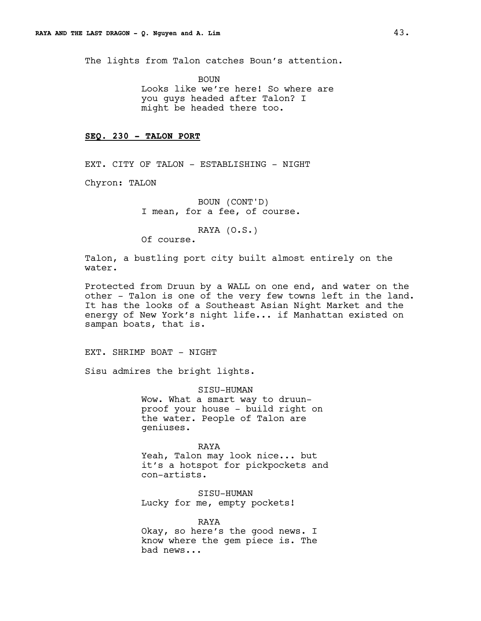The lights from Talon catches Boun's attention.

BOUN Looks like we're here! So where are you guys headed after Talon? I might be headed there too.

## **SEQ. 230 - TALON PORT**

EXT. CITY OF TALON - ESTABLISHING - NIGHT

Chyron: TALON

BOUN (CONT'D) I mean, for a fee, of course.

RAYA (O.S.)

Of course.

Talon, a bustling port city built almost entirely on the water.

Protected from Druun by a WALL on one end, and water on the other - Talon is one of the very few towns left in the land. It has the looks of a Southeast Asian Night Market and the energy of New York's night life... if Manhattan existed on sampan boats, that is.

EXT. SHRIMP BOAT - NIGHT

Sisu admires the bright lights.

SISU-HUMAN Wow. What a smart way to druunproof your house - build right on the water. People of Talon are geniuses.

RAYA Yeah, Talon may look nice... but it's a hotspot for pickpockets and con-artists.

SISU-HUMAN Lucky for me, empty pockets!

RAYA Okay, so here's the good news. I know where the gem piece is. The bad news...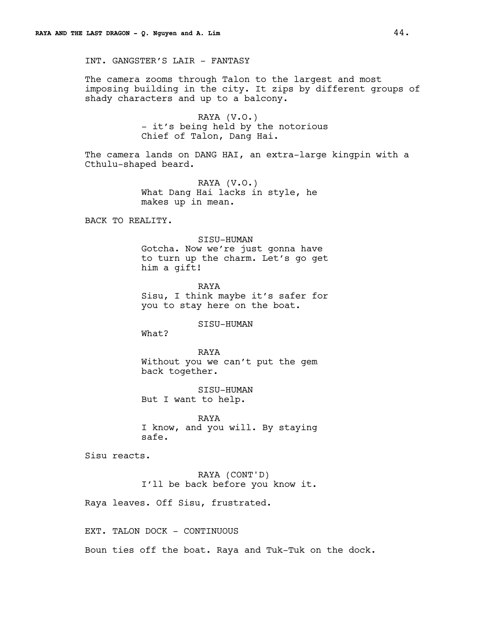INT. GANGSTER'S LAIR - FANTASY

The camera zooms through Talon to the largest and most imposing building in the city. It zips by different groups of shady characters and up to a balcony.

> RAYA (V.O.) - it's being held by the notorious Chief of Talon, Dang Hai.

The camera lands on DANG HAI, an extra-large kingpin with a Cthulu-shaped beard.

> RAYA (V.O.) What Dang Hai lacks in style, he makes up in mean.

BACK TO REALITY.

SISU-HUMAN Gotcha. Now we're just gonna have to turn up the charm. Let's go get him a gift!

RAYA Sisu, I think maybe it's safer for you to stay here on the boat.

SISU-HUMAN

What?

RAYA Without you we can't put the gem back together.

SISU-HUMAN But I want to help.

RAYA I know, and you will. By staying safe.

Sisu reacts.

RAYA (CONT'D) I'll be back before you know it.

Raya leaves. Off Sisu, frustrated.

EXT. TALON DOCK - CONTINUOUS

Boun ties off the boat. Raya and Tuk-Tuk on the dock.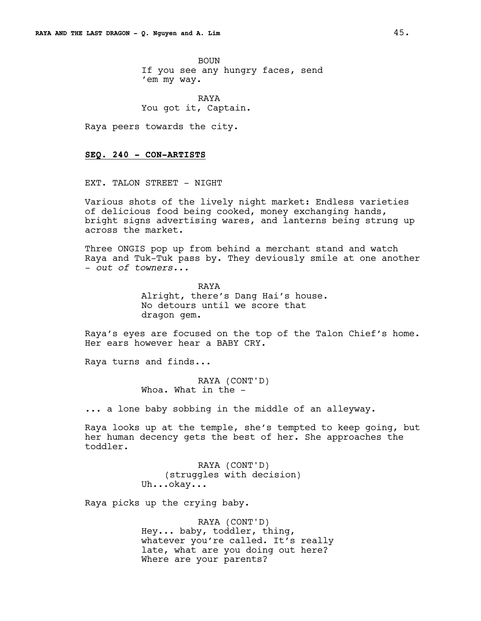BOUN If you see any hungry faces, send 'em my way.

RAYA You got it, Captain.

Raya peers towards the city.

## **SEQ. 240 - CON-ARTISTS**

EXT. TALON STREET - NIGHT

Various shots of the lively night market: Endless varieties of delicious food being cooked, money exchanging hands, bright signs advertising wares, and lanterns being strung up across the market.

Three ONGIS pop up from behind a merchant stand and watch Raya and Tuk-Tuk pass by. They deviously smile at one another - *out of towners...*

> RAYA Alright, there's Dang Hai's house. No detours until we score that dragon gem.

Raya's eyes are focused on the top of the Talon Chief's home. Her ears however hear a BABY CRY.

Raya turns and finds...

RAYA (CONT'D) Whoa. What in the -

... a lone baby sobbing in the middle of an alleyway.

Raya looks up at the temple, she's tempted to keep going, but her human decency gets the best of her. She approaches the toddler.

> RAYA (CONT'D) (struggles with decision) Uh...okay...

Raya picks up the crying baby.

RAYA (CONT'D) Hey... baby, toddler, thing, whatever you're called. It's really late, what are you doing out here? Where are your parents?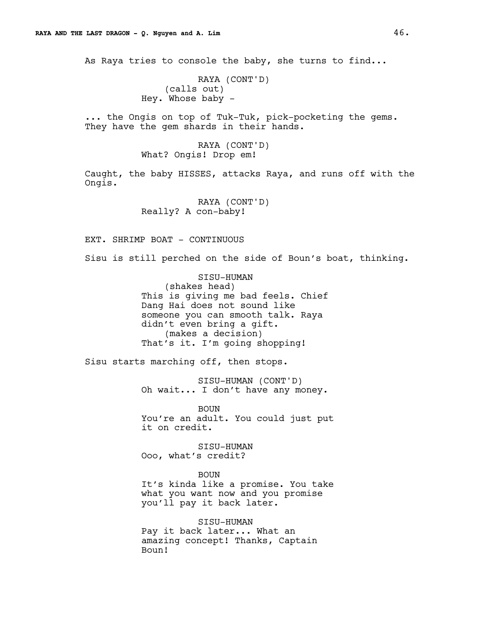As Raya tries to console the baby, she turns to find...

```
RAYA (CONT'D)
    (calls out)
Hey. Whose baby -
```
... the Ongis on top of Tuk-Tuk, pick-pocketing the gems. They have the gem shards in their hands.

> RAYA (CONT'D) What? Ongis! Drop em!

Caught, the baby HISSES, attacks Raya, and runs off with the Ongis.

> RAYA (CONT'D) Really? A con-baby!

EXT. SHRIMP BOAT - CONTINUOUS

Sisu is still perched on the side of Boun's boat, thinking.

SISU-HUMAN (shakes head) This is giving me bad feels. Chief Dang Hai does not sound like someone you can smooth talk. Raya didn't even bring a gift. (makes a decision) That's it. I'm going shopping!

Sisu starts marching off, then stops.

SISU-HUMAN (CONT'D) Oh wait... I don't have any money.

BOUN You're an adult. You could just put it on credit.

SISU-HUMAN Ooo, what's credit?

BOUN It's kinda like a promise. You take what you want now and you promise you'll pay it back later.

SISU-HUMAN Pay it back later... What an amazing concept! Thanks, Captain Boun!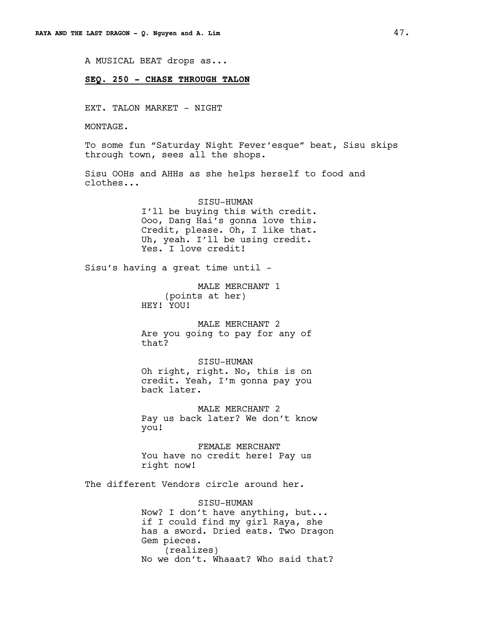A MUSICAL BEAT drops as...

# **SEQ. 250 - CHASE THROUGH TALON**

EXT. TALON MARKET - NIGHT

MONTAGE.

To some fun "Saturday Night Fever'esque" beat, Sisu skips through town, sees all the shops.

Sisu OOHs and AHHs as she helps herself to food and clothes...

> SISU-HUMAN I'll be buying this with credit. Ooo, Dang Hai's gonna love this. Credit, please. Oh, I like that. Uh, yeah. I'll be using credit. Yes. I love credit!

Sisu's having a great time until -

MALE MERCHANT 1 (points at her) HEY! YOU!

MALE MERCHANT 2 Are you going to pay for any of that?

SISU-HUMAN Oh right, right. No, this is on credit. Yeah, I'm gonna pay you back later.

MALE MERCHANT 2 Pay us back later? We don't know you!

FEMALE MERCHANT You have no credit here! Pay us right now!

The different Vendors circle around her.

SISU-HUMAN Now? I don't have anything, but... if I could find my girl Raya, she has a sword. Dried eats. Two Dragon Gem pieces. (realizes) No we don't. Whaaat? Who said that?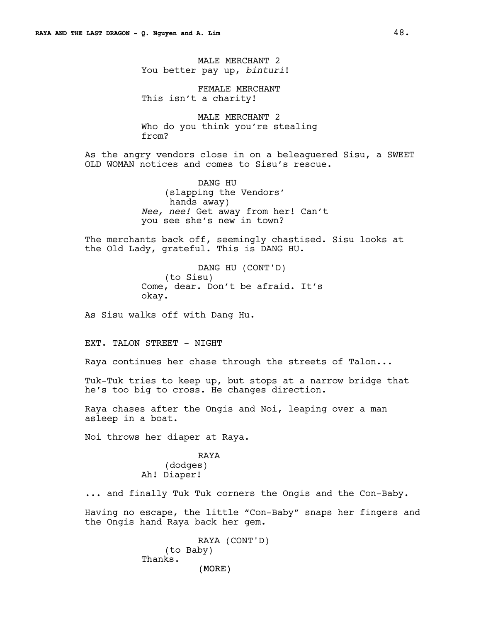MALE MERCHANT 2 You better pay up, *binturi*!

FEMALE MERCHANT This isn't a charity!

MALE MERCHANT 2 Who do you think you're stealing from?

As the angry vendors close in on a beleaguered Sisu, a SWEET OLD WOMAN notices and comes to Sisu's rescue.

> DANG HU (slapping the Vendors' hands away) *Nee, nee!* Get away from her! Can't you see she's new in town?

The merchants back off, seemingly chastised. Sisu looks at the Old Lady, grateful. This is DANG HU.

> DANG HU (CONT'D) (to Sisu) Come, dear. Don't be afraid. It's okay.

As Sisu walks off with Dang Hu.

EXT. TALON STREET - NIGHT

Raya continues her chase through the streets of Talon...

Tuk-Tuk tries to keep up, but stops at a narrow bridge that he's too big to cross. He changes direction.

Raya chases after the Ongis and Noi, leaping over a man asleep in a boat.

Noi throws her diaper at Raya.

RAYA (dodges) Ah! Diaper!

... and finally Tuk Tuk corners the Ongis and the Con-Baby.

Having no escape, the little "Con-Baby" snaps her fingers and the Ongis hand Raya back her gem.

> (MORE) RAYA (CONT'D) (to Baby) Thanks.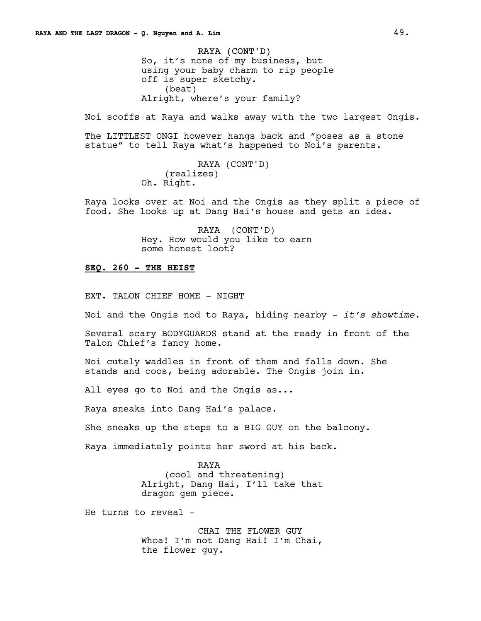RAYA (CONT'D) So, it's none of my business, but using your baby charm to rip people off is super sketchy. (beat) Alright, where's your family?

Noi scoffs at Raya and walks away with the two largest Ongis.

The LITTLEST ONGI however hangs back and "poses as a stone statue" to tell Raya what's happened to Noi's parents.

```
RAYA (CONT'D)
    (realizes)
Oh. Right.
```
Raya looks over at Noi and the Ongis as they split a piece of food. She looks up at Dang Hai's house and gets an idea.

> RAYA (CONT'D) Hey. How would you like to earn some honest loot?

## **SEQ. 260 - THE HEIST**

EXT. TALON CHIEF HOME - NIGHT

Noi and the Ongis nod to Raya, hiding nearby - *it's showtime*.

Several scary BODYGUARDS stand at the ready in front of the Talon Chief's fancy home.

Noi cutely waddles in front of them and falls down. She stands and coos, being adorable. The Ongis join in.

All eyes go to Noi and the Ongis as...

Raya sneaks into Dang Hai's palace.

She sneaks up the steps to a BIG GUY on the balcony.

Raya immediately points her sword at his back.

RAYA (cool and threatening) Alright, Dang Hai, I'll take that dragon gem piece.

He turns to reveal -

CHAI THE FLOWER GUY Whoa! I'm not Dang Hai! I'm Chai, the flower guy.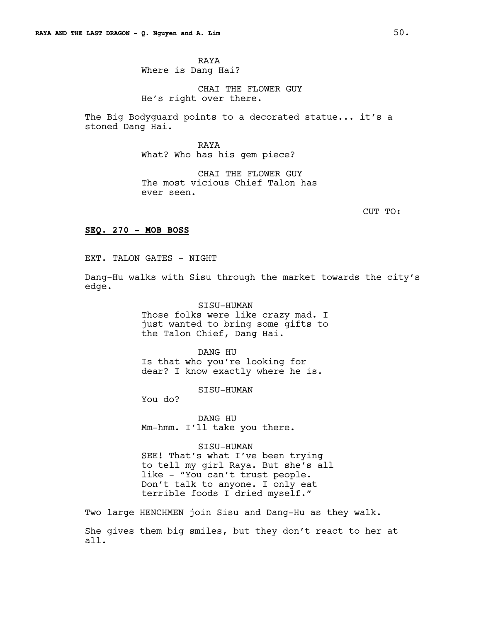RAYA Where is Dang Hai?

CHAI THE FLOWER GUY He's right over there.

The Big Bodyguard points to a decorated statue... it's a stoned Dang Hai.

> RAYA What? Who has his gem piece?

CHAI THE FLOWER GUY The most vicious Chief Talon has ever seen.

CUT TO:

# **SEQ. 270 - MOB BOSS**

EXT. TALON GATES - NIGHT

Dang-Hu walks with Sisu through the market towards the city's edge.

> SISU-HUMAN Those folks were like crazy mad. I just wanted to bring some gifts to the Talon Chief, Dang Hai.

DANG HU Is that who you're looking for dear? I know exactly where he is.

SISU-HUMAN

You do?

DANG HU Mm-hmm. I'll take you there.

SISU-HUMAN

SEE! That's what I've been trying to tell my girl Raya. But she's all like - "You can't trust people. Don't talk to anyone. I only eat terrible foods I dried myself."

Two large HENCHMEN join Sisu and Dang-Hu as they walk. She gives them big smiles, but they don't react to her at all.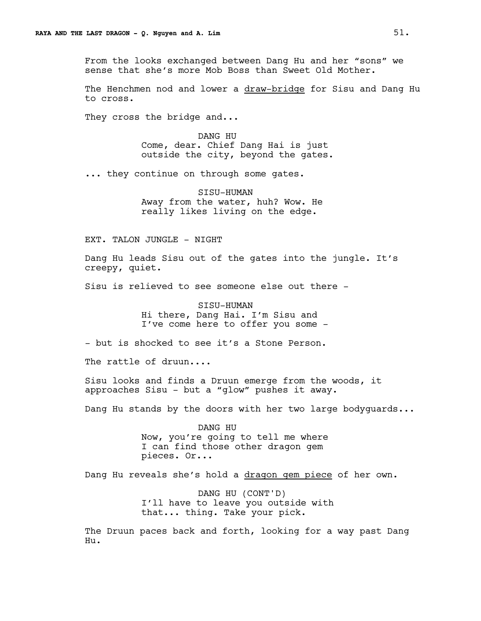From the looks exchanged between Dang Hu and her "sons" we sense that she's more Mob Boss than Sweet Old Mother.

The Henchmen nod and lower a draw-bridge for Sisu and Dang Hu to cross.

They cross the bridge and...

DANG HU Come, dear. Chief Dang Hai is just outside the city, beyond the gates.

... they continue on through some gates.

SISU-HUMAN Away from the water, huh? Wow. He really likes living on the edge.

EXT. TALON JUNGLE - NIGHT

Dang Hu leads Sisu out of the gates into the jungle. It's creepy, quiet.

Sisu is relieved to see someone else out there -

SISU-HUMAN Hi there, Dang Hai. I'm Sisu and I've come here to offer you some -

- but is shocked to see it's a Stone Person.

The rattle of druun....

Sisu looks and finds a Druun emerge from the woods, it approaches Sisu - but a "glow" pushes it away.

Dang Hu stands by the doors with her two large bodyguards...

DANG HU Now, you're going to tell me where I can find those other dragon gem pieces. Or...

Dang Hu reveals she's hold a dragon gem piece of her own.

DANG HU (CONT'D) I'll have to leave you outside with that... thing. Take your pick.

The Druun paces back and forth, looking for a way past Dang Hu.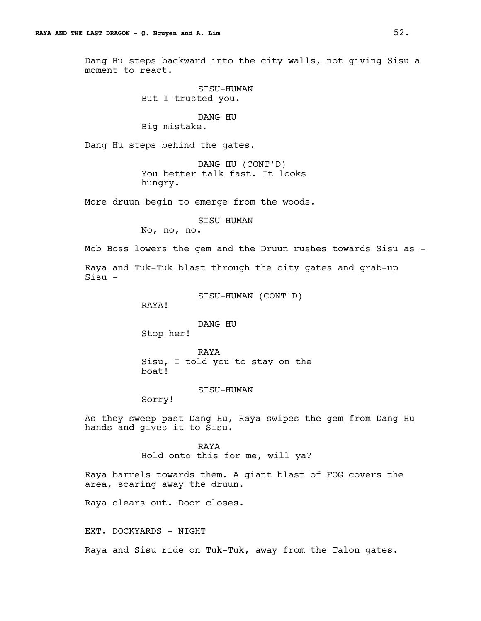Dang Hu steps backward into the city walls, not giving Sisu a moment to react.

> SISU-HUMAN But I trusted you.

# DANG HU

Big mistake.

Dang Hu steps behind the gates.

DANG HU (CONT'D) You better talk fast. It looks hungry.

More druun begin to emerge from the woods.

SISU-HUMAN

No, no, no.

Mob Boss lowers the gem and the Druun rushes towards Sisu as -

Raya and Tuk-Tuk blast through the city gates and grab-up Sisu -

SISU-HUMAN (CONT'D)

RAYA!

DANG HU

Stop her!

RAYA Sisu, I told you to stay on the boat!

SISU-HUMAN

Sorry!

As they sweep past Dang Hu, Raya swipes the gem from Dang Hu hands and gives it to Sisu.

> RAYA Hold onto this for me, will ya?

Raya barrels towards them. A giant blast of FOG covers the area, scaring away the druun.

Raya clears out. Door closes.

EXT. DOCKYARDS - NIGHT

Raya and Sisu ride on Tuk-Tuk, away from the Talon gates.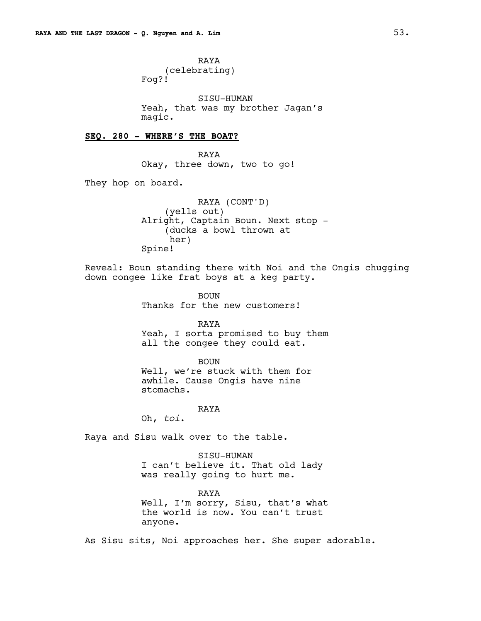RAYA (celebrating) Fog?!

SISU-HUMAN Yeah, that was my brother Jagan's magic.

# **SEQ. 280 - WHERE'S THE BOAT?**

RAYA Okay, three down, two to go!

They hop on board.

RAYA (CONT'D) (yells out) Alright, Captain Boun. Next stop - (ducks a bowl thrown at her) Spine!

Reveal: Boun standing there with Noi and the Ongis chugging down congee like frat boys at a keg party.

> BOUN Thanks for the new customers!

RAYA Yeah, I sorta promised to buy them all the congee they could eat.

BOUN

Well, we're stuck with them for awhile. Cause Ongis have nine stomachs.

RAYA

Oh, *toi*.

Raya and Sisu walk over to the table.

SISU-HUMAN I can't believe it. That old lady was really going to hurt me.

RAYA Well, I'm sorry, Sisu, that's what the world is now. You can't trust anyone.

As Sisu sits, Noi approaches her. She super adorable.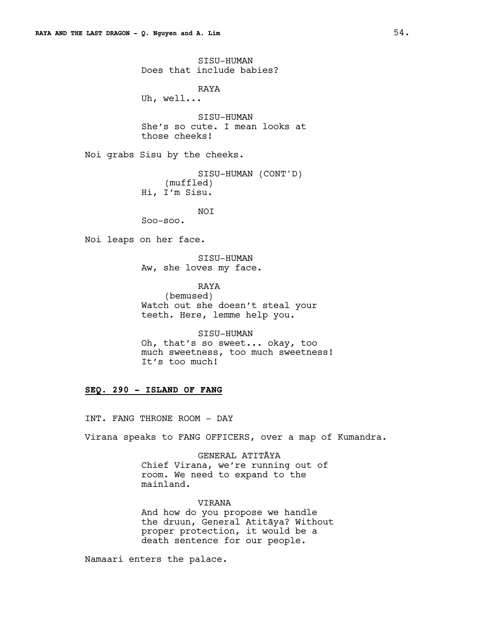SISU-HUMAN Does that include babies? RAYA Uh, well... SISU-HUMAN She's so cute. I mean looks at those cheeks! Noi grabs Sisu by the cheeks. SISU-HUMAN (CONT'D) (muffled) Hi, I'm Sisu. NOI Soo-soo. Noi leaps on her face. SISU-HUMAN Aw, she loves my face. RAYA (bemused) Watch out she doesn't steal your

teeth. Here, lemme help you. SISU-HUMAN

Oh, that's so sweet... okay, too much sweetness, too much sweetness! It's too much!

# **SEQ. 290 - ISLAND OF FANG**

INT. FANG THRONE ROOM - DAY

Virana speaks to FANG OFFICERS, over a map of Kumandra.

GENERAL ATITĀYA Chief Virana, we're running out of room. We need to expand to the mainland.

VIRANA And how do you propose we handle the druun, General Atitāya? Without proper protection, it would be a death sentence for our people.

Namaari enters the palace.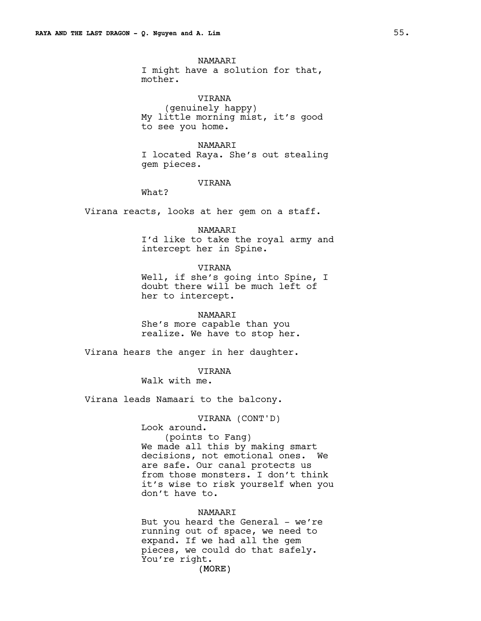NAMAARI I might have a solution for that, mother.

VIRANA (genuinely happy) My little morning mist, it's good to see you home.

NAMAARI I located Raya. She's out stealing gem pieces.

# VIRANA

What?

Virana reacts, looks at her gem on a staff.

#### NAMAARI

I'd like to take the royal army and intercept her in Spine.

VIRANA

Well, if she's going into Spine, I doubt there will be much left of her to intercept.

NAMAARI She's more capable than you realize. We have to stop her.

Virana hears the anger in her daughter.

VIRANA

Walk with me.

Virana leads Namaari to the balcony.

VIRANA (CONT'D) Look around. (points to Fang) We made all this by making smart decisions, not emotional ones. We are safe. Our canal protects us from those monsters. I don't think it's wise to risk yourself when you don't have to.

## NAMAARI

(MORE) But you heard the General - we're running out of space, we need to expand. If we had all the gem pieces, we could do that safely. You're right.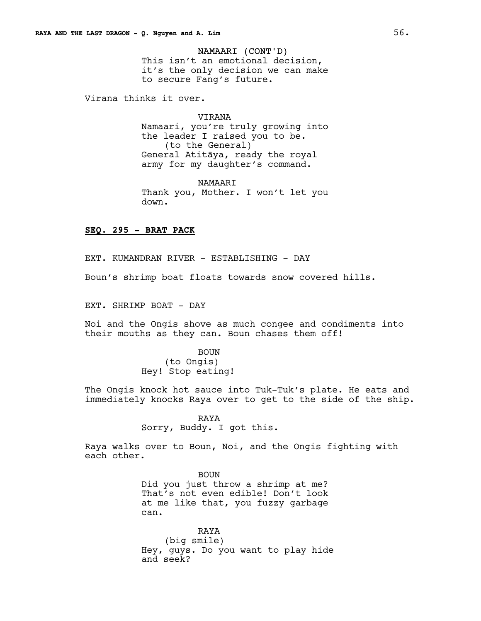# NAMAARI (CONT'D)

This isn't an emotional decision, it's the only decision we can make to secure Fang's future.

Virana thinks it over.

VIRANA Namaari, you're truly growing into the leader I raised you to be. (to the General) General Atitāya, ready the royal army for my daughter's command.

NAMAARI Thank you, Mother. I won't let you down.

# **SEQ. 295 - BRAT PACK**

EXT. KUMANDRAN RIVER - ESTABLISHING - DAY

Boun's shrimp boat floats towards snow covered hills.

EXT. SHRIMP BOAT - DAY

Noi and the Ongis shove as much congee and condiments into their mouths as they can. Boun chases them off!

> BOUN (to Ongis) Hey! Stop eating!

The Ongis knock hot sauce into Tuk-Tuk's plate. He eats and immediately knocks Raya over to get to the side of the ship.

> RAYA Sorry, Buddy. I got this.

Raya walks over to Boun, Noi, and the Ongis fighting with each other.

> BOUN Did you just throw a shrimp at me? That's not even edible! Don't look at me like that, you fuzzy garbage can.

RAYA (big smile) Hey, guys. Do you want to play hide and seek?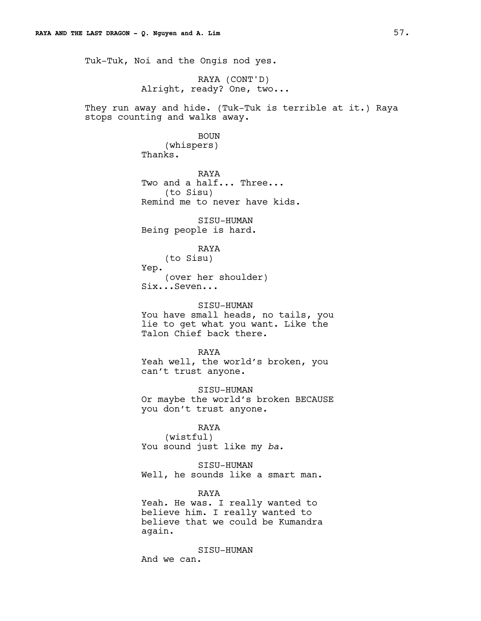Tuk-Tuk, Noi and the Ongis nod yes.

RAYA (CONT'D) Alright, ready? One, two...

They run away and hide. (Tuk-Tuk is terrible at it.) Raya stops counting and walks away.

# BOUN

(whispers) Thanks.

RAYA Two and a half... Three... (to Sisu) Remind me to never have kids.

SISU-HUMAN Being people is hard.

# RAYA

(to Sisu) Yep. (over her shoulder) Six...Seven...

#### SISU-HUMAN

You have small heads, no tails, you lie to get what you want. Like the Talon Chief back there.

RAYA

Yeah well, the world's broken, you can't trust anyone.

SISU-HUMAN Or maybe the world's broken BECAUSE you don't trust anyone.

# RAYA

(wistful) You sound just like my *ba*.

SISU-HUMAN Well, he sounds like a smart man.

#### RAYA

Yeah. He was. I really wanted to believe him. I really wanted to believe that we could be Kumandra again.

SISU-HUMAN And we can.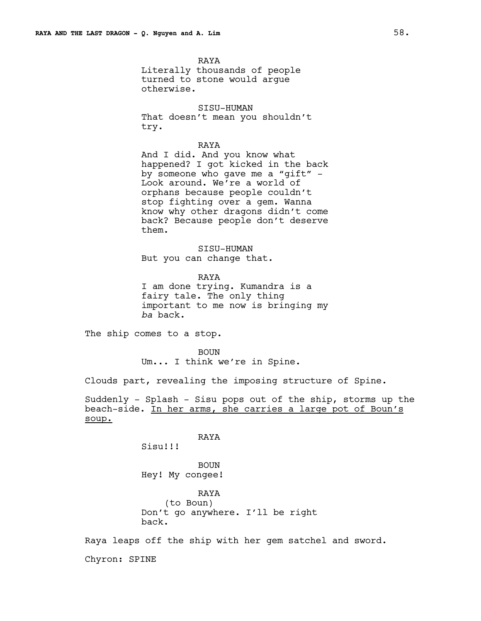RAYA Literally thousands of people turned to stone would argue otherwise.

SISU-HUMAN That doesn't mean you shouldn't try.

RAYA And I did. And you know what happened? I got kicked in the back by someone who gave me a "gift" - Look around. We're a world of orphans because people couldn't stop fighting over a gem. Wanna know why other dragons didn't come back? Because people don't deserve them.

SISU-HUMAN But you can change that.

RAYA I am done trying. Kumandra is a fairy tale. The only thing important to me now is bringing my *ba* back.

The ship comes to a stop.

BOUN Um... I think we're in Spine.

Clouds part, revealing the imposing structure of Spine.

Suddenly - Splash - Sisu pops out of the ship, storms up the beach-side. In her arms, she carries a large pot of Boun's soup.

RAYA

Sisu!!!

BOUN Hey! My congee!

RAYA (to Boun) Don't go anywhere. I'll be right back.

Raya leaps off the ship with her gem satchel and sword.

Chyron: SPINE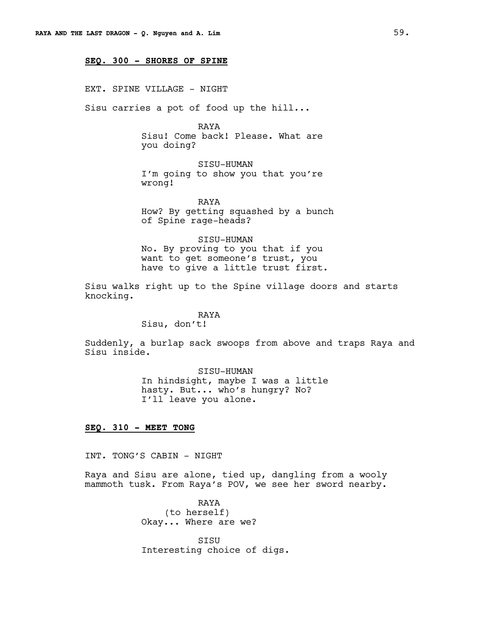## **SEQ. 300 - SHORES OF SPINE**

EXT. SPINE VILLAGE - NIGHT

Sisu carries a pot of food up the hill...

RAYA

Sisu! Come back! Please. What are you doing?

SISU-HUMAN I'm going to show you that you're wrong!

RAYA How? By getting squashed by a bunch of Spine rage-heads?

SISU-HUMAN No. By proving to you that if you want to get someone's trust, you have to give a little trust first.

Sisu walks right up to the Spine village doors and starts knocking.

# RAYA

Sisu, don't!

Suddenly, a burlap sack swoops from above and traps Raya and Sisu inside.

> SISU-HUMAN In hindsight, maybe I was a little hasty. But... who's hungry? No? I'll leave you alone.

# **SEQ. 310 - MEET TONG**

INT. TONG'S CABIN - NIGHT

Raya and Sisu are alone, tied up, dangling from a wooly mammoth tusk. From Raya's POV, we see her sword nearby.

> RAYA (to herself) Okay... Where are we?

SISU Interesting choice of digs.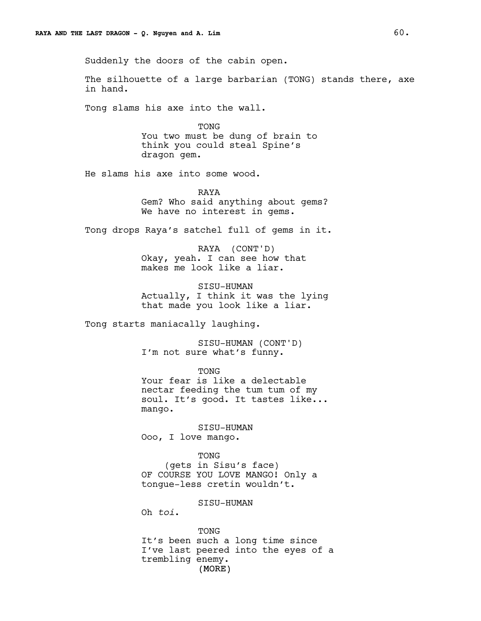Suddenly the doors of the cabin open.

The silhouette of a large barbarian (TONG) stands there, axe in hand.

Tong slams his axe into the wall.

TONG You two must be dung of brain to think you could steal Spine's dragon gem.

He slams his axe into some wood.

RAYA Gem? Who said anything about gems? We have no interest in gems.

Tong drops Raya's satchel full of gems in it.

RAYA (CONT'D) Okay, yeah. I can see how that makes me look like a liar.

SISU-HUMAN Actually, I think it was the lying that made you look like a liar.

Tong starts maniacally laughing.

SISU-HUMAN (CONT'D) I'm not sure what's funny.

TONG Your fear is like a delectable nectar feeding the tum tum of my soul. It's good. It tastes like... mango.

SISU-HUMAN Ooo, I love mango.

TONG

(gets in Sisu's face) OF COURSE YOU LOVE MANGO! Only a tongue-less cretin wouldn't.

#### SISU-HUMAN

Oh *toi*.

(MORE) TONG It's been such a long time since I've last peered into the eyes of a trembling enemy.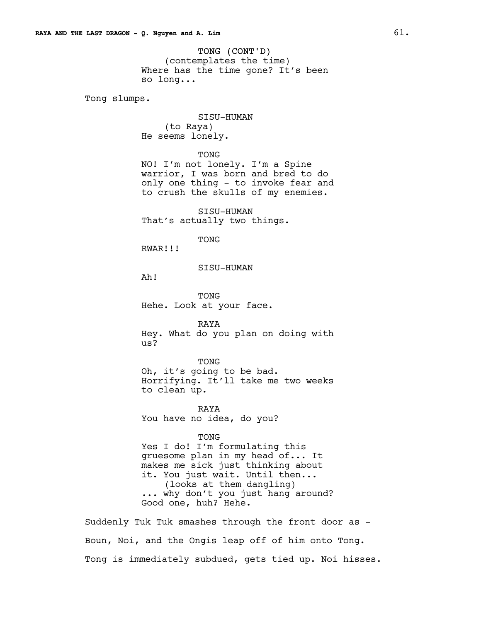TONG (CONT'D) (contemplates the time) Where has the time gone? It's been so long...

Tong slumps.

SISU-HUMAN (to Raya) He seems lonely.

#### TONG

NO! I'm not lonely. I'm a Spine warrior, I was born and bred to do only one thing - to invoke fear and to crush the skulls of my enemies.

SISU-HUMAN That's actually two things.

TONG

RWAR!!!

#### SISU-HUMAN

Ah!

TONG Hehe. Look at your face.

RAYA Hey. What do you plan on doing with us?

TONG Oh, it's going to be bad. Horrifying. It'll take me two weeks to clean up.

RAYA You have no idea, do you?

TONG

Yes I do! I'm formulating this gruesome plan in my head of... It makes me sick just thinking about it. You just wait. Until then... (looks at them dangling) ... why don't you just hang around? Good one, huh? Hehe.

Suddenly Tuk Tuk smashes through the front door as - Boun, Noi, and the Ongis leap off of him onto Tong. Tong is immediately subdued, gets tied up. Noi hisses.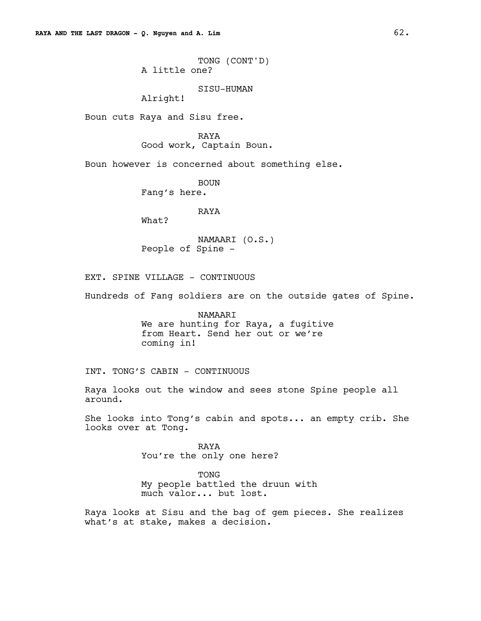TONG (CONT'D) A little one?

SISU-HUMAN

Alright!

Boun cuts Raya and Sisu free.

RAYA

Good work, Captain Boun.

Boun however is concerned about something else.

BOUN Fang's here.

RAYA

What?

NAMAARI (O.S.) People of Spine -

EXT. SPINE VILLAGE - CONTINUOUS

Hundreds of Fang soldiers are on the outside gates of Spine.

NAMAARI We are hunting for Raya, a fugitive from Heart. Send her out or we're coming in!

INT. TONG'S CABIN - CONTINUOUS

Raya looks out the window and sees stone Spine people all around.

She looks into Tong's cabin and spots... an empty crib. She looks over at Tong.

> RAYA You're the only one here?

TONG My people battled the druun with much valor... but lost.

Raya looks at Sisu and the bag of gem pieces. She realizes what's at stake, makes a decision.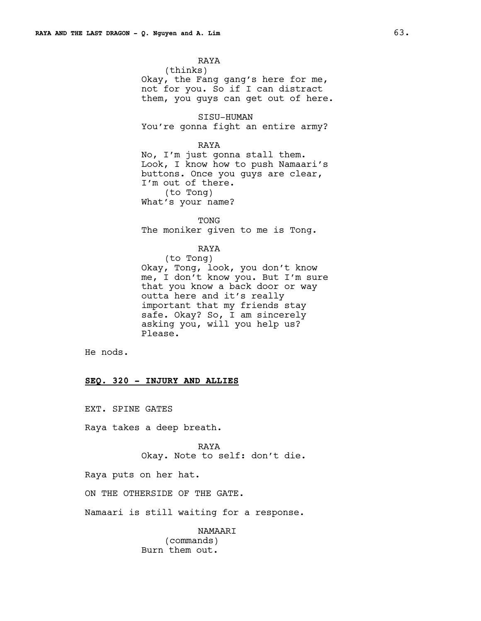RAYA (thinks) Okay, the Fang gang's here for me, not for you. So if I can distract them, you guys can get out of here.

SISU-HUMAN You're gonna fight an entire army?

RAYA

No, I'm just gonna stall them. Look, I know how to push Namaari's buttons. Once you guys are clear, I'm out of there. (to Tong) What's your name?

TONG The moniker given to me is Tong.

RAYA

(to Tong) Okay, Tong, look, you don't know me, I don't know you. But I'm sure that you know a back door or way outta here and it's really important that my friends stay safe. Okay? So, I am sincerely asking you, will you help us? Please.

He nods.

### **SEQ. 320 - INJURY AND ALLIES**

EXT. SPINE GATES

Raya takes a deep breath.

RAYA Okay. Note to self: don't die.

Raya puts on her hat.

ON THE OTHERSIDE OF THE GATE.

Namaari is still waiting for a response.

NAMAARI (commands) Burn them out.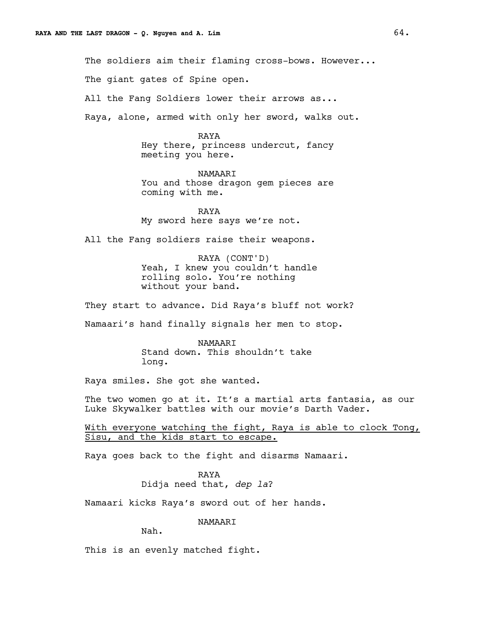The soldiers aim their flaming cross-bows. However...

The giant gates of Spine open.

All the Fang Soldiers lower their arrows as...

Raya, alone, armed with only her sword, walks out.

#### RAYA

Hey there, princess undercut, fancy meeting you here.

NAMAARI You and those dragon gem pieces are coming with me.

RAYA My sword here says we're not.

All the Fang soldiers raise their weapons.

RAYA (CONT'D) Yeah, I knew you couldn't handle rolling solo. You're nothing without your band.

They start to advance. Did Raya's bluff not work?

Namaari's hand finally signals her men to stop.

NAMAARI Stand down. This shouldn't take long.

Raya smiles. She got she wanted.

The two women go at it. It's a martial arts fantasia, as our Luke Skywalker battles with our movie's Darth Vader.

With everyone watching the fight, Raya is able to clock Tong, Sisu, and the kids start to escape.

Raya goes back to the fight and disarms Namaari.

RAYA Didja need that, *dep la*?

Namaari kicks Raya's sword out of her hands.

NAMAARI

Nah.

This is an evenly matched fight.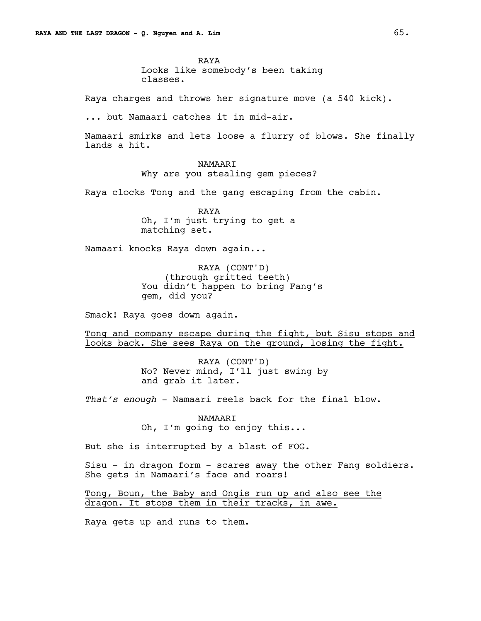RAYA Looks like somebody's been taking classes.

Raya charges and throws her signature move (a 540 kick).

... but Namaari catches it in mid-air.

Namaari smirks and lets loose a flurry of blows. She finally lands a hit.

# NAMAARI

Why are you stealing gem pieces?

Raya clocks Tong and the gang escaping from the cabin.

RAYA Oh, I'm just trying to get a matching set.

Namaari knocks Raya down again...

RAYA (CONT'D) (through gritted teeth) You didn't happen to bring Fang's gem, did you?

Smack! Raya goes down again.

Tong and company escape during the fight, but Sisu stops and looks back. She sees Raya on the ground, losing the fight.

> RAYA (CONT'D) No? Never mind, I'll just swing by and grab it later.

*That's enough* - Namaari reels back for the final blow.

NAMAARI Oh, I'm going to enjoy this...

But she is interrupted by a blast of FOG.

Sisu - in dragon form - scares away the other Fang soldiers. She gets in Namaari's face and roars!

Tong, Boun, the Baby and Ongis run up and also see the dragon. It stops them in their tracks, in awe.

Raya gets up and runs to them.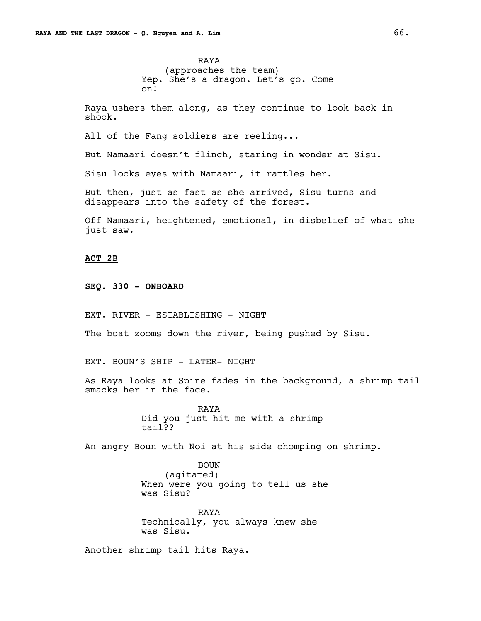RAYA (approaches the team) Yep. She's a dragon. Let's go. Come on!

Raya ushers them along, as they continue to look back in shock.

All of the Fang soldiers are reeling...

But Namaari doesn't flinch, staring in wonder at Sisu.

Sisu locks eyes with Namaari, it rattles her.

But then, just as fast as she arrived, Sisu turns and disappears into the safety of the forest.

Off Namaari, heightened, emotional, in disbelief of what she just saw.

## **ACT 2B**

## **SEQ. 330 - ONBOARD**

EXT. RIVER - ESTABLISHING - NIGHT

The boat zooms down the river, being pushed by Sisu.

EXT. BOUN'S SHIP - LATER- NIGHT

As Raya looks at Spine fades in the background, a shrimp tail smacks her in the face.

> RAYA Did you just hit me with a shrimp tail??

An angry Boun with Noi at his side chomping on shrimp.

BOUN (agitated) When were you going to tell us she was Sisu?

RAYA Technically, you always knew she was Sisu.

Another shrimp tail hits Raya.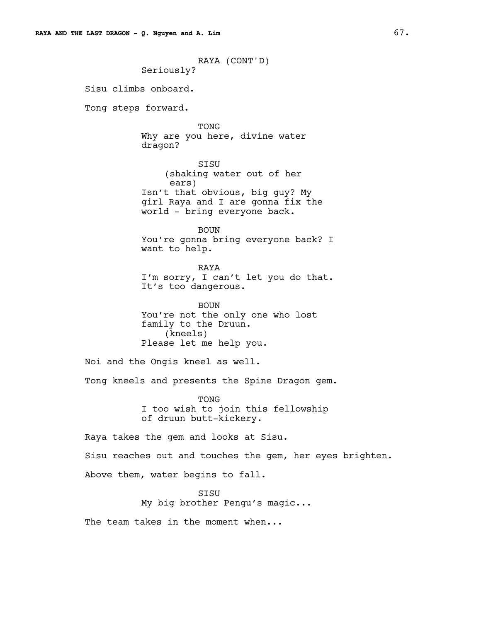RAYA (CONT'D) Seriously? Sisu climbs onboard. Tong steps forward. TONG Why are you here, divine water dragon? SISU (shaking water out of her ears) Isn't that obvious, big guy? My girl Raya and I are gonna fix the world - bring everyone back. BOUN You're gonna bring everyone back? I want to help. RAYA I'm sorry, I can't let you do that. It's too dangerous. BOUN You're not the only one who lost family to the Druun. (kneels) Please let me help you. Noi and the Ongis kneel as well. Tong kneels and presents the Spine Dragon gem. TONG I too wish to join this fellowship of druun butt-kickery. Raya takes the gem and looks at Sisu. Sisu reaches out and touches the gem, her eyes brighten. Above them, water begins to fall. **STSU** My big brother Pengu's magic...

The team takes in the moment when...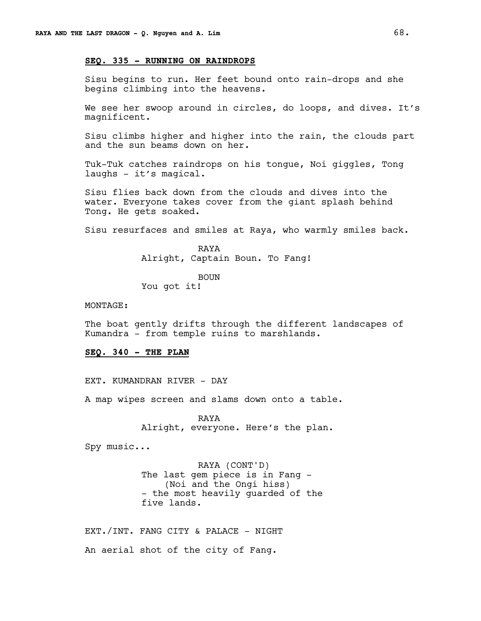## **SEQ. 335 - RUNNING ON RAINDROPS**

Sisu begins to run. Her feet bound onto rain-drops and she begins climbing into the heavens.

We see her swoop around in circles, do loops, and dives. It's magnificent.

Sisu climbs higher and higher into the rain, the clouds part and the sun beams down on her.

Tuk-Tuk catches raindrops on his tongue, Noi giggles, Tong laughs - it's magical.

Sisu flies back down from the clouds and dives into the water. Everyone takes cover from the giant splash behind Tong. He gets soaked.

Sisu resurfaces and smiles at Raya, who warmly smiles back.

RAYA Alright, Captain Boun. To Fang!

BOUN You got it!

#### MONTAGE:

The boat gently drifts through the different landscapes of Kumandra - from temple ruins to marshlands.

# **SEQ. 340 - THE PLAN**

EXT. KUMANDRAN RIVER - DAY

A map wipes screen and slams down onto a table.

RAYA Alright, everyone. Here's the plan.

Spy music...

RAYA (CONT'D) The last gem piece is in Fang - (Noi and the Ongi hiss) - the most heavily guarded of the five lands.

EXT./INT. FANG CITY & PALACE - NIGHT An aerial shot of the city of Fang.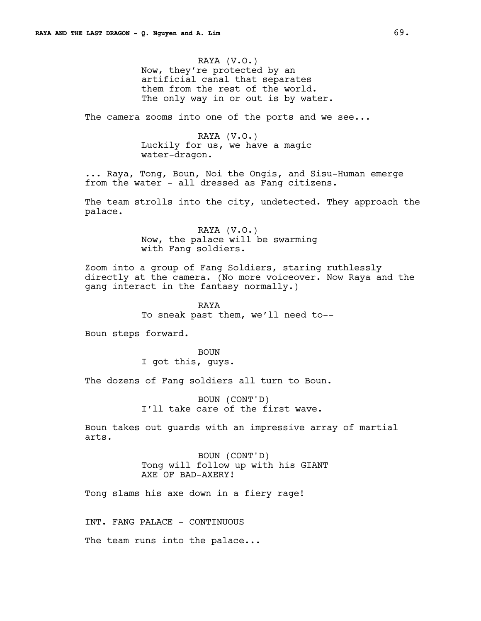RAYA (V.O.) Now, they're protected by an artificial canal that separates them from the rest of the world. The only way in or out is by water.

The camera zooms into one of the ports and we see...

RAYA (V.O.) Luckily for us, we have a magic water-dragon.

... Raya, Tong, Boun, Noi the Ongis, and Sisu-Human emerge from the water - all dressed as Fang citizens.

The team strolls into the city, undetected. They approach the palace.

> RAYA (V.O.) Now, the palace will be swarming with Fang soldiers.

Zoom into a group of Fang Soldiers, staring ruthlessly directly at the camera. (No more voiceover. Now Raya and the gang interact in the fantasy normally.)

> RAYA To sneak past them, we'll need to--

Boun steps forward.

BOUN I got this, guys.

The dozens of Fang soldiers all turn to Boun.

BOUN (CONT'D) I'll take care of the first wave.

Boun takes out guards with an impressive array of martial arts.

> BOUN (CONT'D) Tong will follow up with his GIANT AXE OF BAD-AXERY!

Tong slams his axe down in a fiery rage!

INT. FANG PALACE - CONTINUOUS

The team runs into the palace...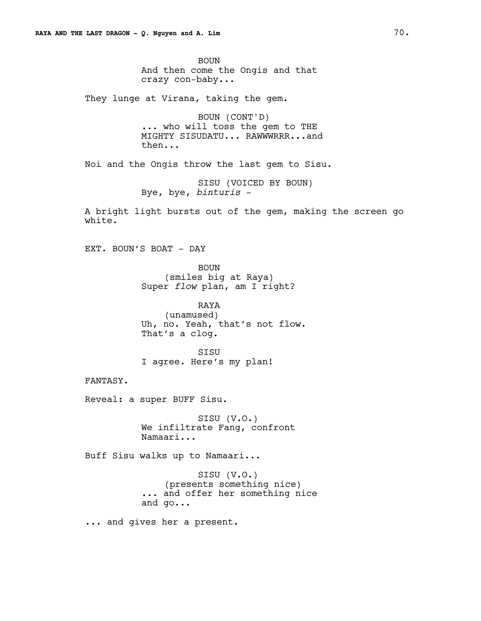BOUN And then come the Ongis and that crazy con-baby...

They lunge at Virana, taking the gem.

BOUN (CONT'D) ... who will toss the gem to THE MIGHTY SISUDATU... RAWWWRRR...and then...

Noi and the Ongis throw the last gem to Sisu.

```
SISU (VOICED BY BOUN)
Bye, bye, binturis -
```
A bright light bursts out of the gem, making the screen go white.

EXT. BOUN'S BOAT - DAY

BOUN (smiles big at Raya) Super *flow* plan, am I right?

RAYA (unamused) Uh, no. Yeah, that's not flow. That's a clog.

SISU I agree. Here's my plan!

FANTASY.

Reveal: a super BUFF Sisu.

SISU (V.O.) We infiltrate Fang, confront Namaari...

Buff Sisu walks up to Namaari...

SISU (V.O.) (presents something nice) ... and offer her something nice and go...

... and gives her a present.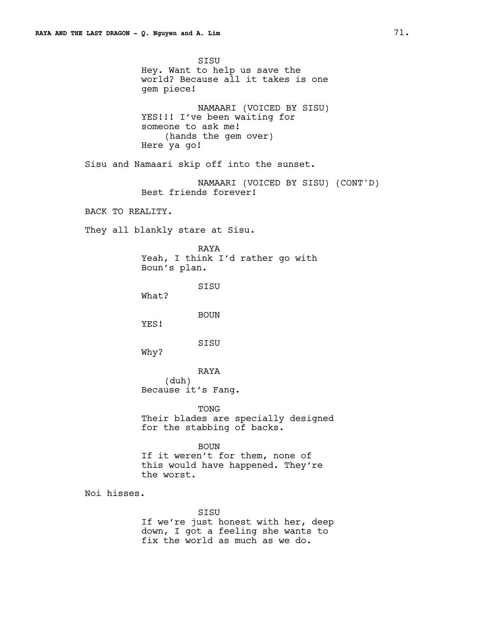SISU Hey. Want to help us save the world? Because all it takes is one gem piece! NAMAARI (VOICED BY SISU) YES!!! I've been waiting for someone to ask me! (hands the gem over) Here ya go! Sisu and Namaari skip off into the sunset. NAMAARI (VOICED BY SISU) (CONT'D) Best friends forever! BACK TO REALITY. They all blankly stare at Sisu. RAYA Yeah, I think I'd rather go with Boun's plan. **STSU** What? BOUN YES! SISU Why? RAYA (duh) Because it's Fang. TONG Their blades are specially designed for the stabbing of backs. BOUN If it weren't for them, none of this would have happened. They're the worst. Noi hisses. SISU If we're just honest with her, deep down, I got a feeling she wants to fix the world as much as we do.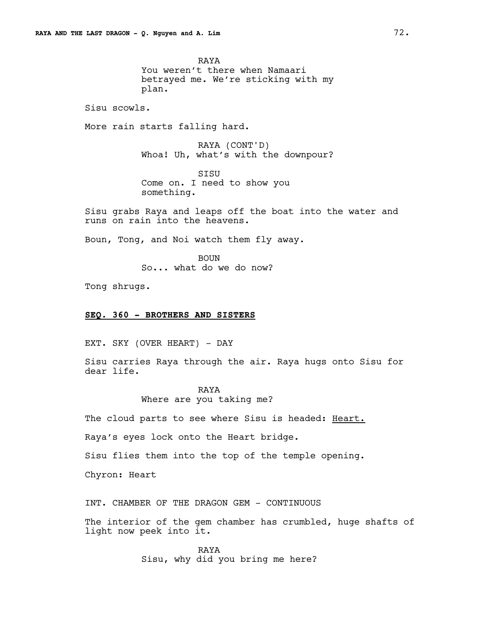RAYA You weren't there when Namaari betrayed me. We're sticking with my plan.

Sisu scowls.

More rain starts falling hard.

RAYA (CONT'D) Whoa! Uh, what's with the downpour?

SISU Come on. I need to show you something.

Sisu grabs Raya and leaps off the boat into the water and runs on rain into the heavens.

Boun, Tong, and Noi watch them fly away.

BOUN So... what do we do now?

Tong shrugs.

# **SEQ. 360 - BROTHERS AND SISTERS**

EXT. SKY (OVER HEART) - DAY

Sisu carries Raya through the air. Raya hugs onto Sisu for dear life.

> RAYA Where are you taking me?

The cloud parts to see where Sisu is headed: Heart.

Raya's eyes lock onto the Heart bridge.

Sisu flies them into the top of the temple opening.

Chyron: Heart

INT. CHAMBER OF THE DRAGON GEM - CONTINUOUS

The interior of the gem chamber has crumbled, huge shafts of light now peek into it.

> RAYA Sisu, why did you bring me here?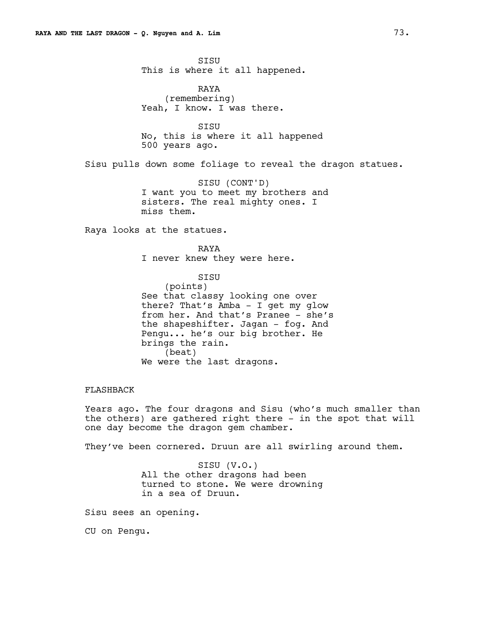SISU This is where it all happened.

RAYA (remembering) Yeah, I know. I was there.

SISU No, this is where it all happened 500 years ago.

Sisu pulls down some foliage to reveal the dragon statues.

SISU (CONT'D) I want you to meet my brothers and sisters. The real mighty ones. I miss them.

Raya looks at the statues.

RAYA I never knew they were here.

> SISU (points)

See that classy looking one over there? That's Amba - I get my glow from her. And that's Pranee - she's the shapeshifter. Jagan - fog. And Pengu... he's our big brother. He brings the rain. (beat) We were the last dragons.

# FLASHBACK

Years ago. The four dragons and Sisu (who's much smaller than the others) are gathered right there - in the spot that will one day become the dragon gem chamber.

They've been cornered. Druun are all swirling around them.

SISU (V.O.) All the other dragons had been turned to stone. We were drowning in a sea of Druun.

Sisu sees an opening.

CU on Pengu.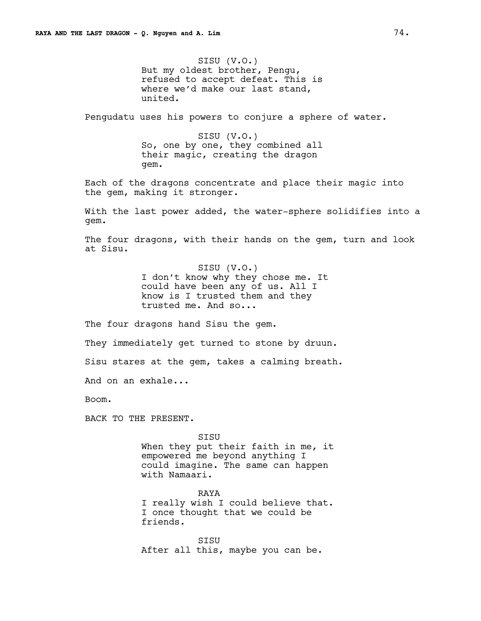SISU (V.O.) But my oldest brother, Pengu, refused to accept defeat. This is where we'd make our last stand, united.

Pengudatu uses his powers to conjure a sphere of water.

SISU (V.O.) So, one by one, they combined all their magic, creating the dragon gem.

Each of the dragons concentrate and place their magic into the gem, making it stronger.

With the last power added, the water-sphere solidifies into a gem.

The four dragons, with their hands on the gem, turn and look at Sisu.

> SISU (V.O.) I don't know why they chose me. It could have been any of us. All I know is I trusted them and they trusted me. And so...

The four dragons hand Sisu the gem.

They immediately get turned to stone by druun.

Sisu stares at the gem, takes a calming breath.

And on an exhale...

Boom.

BACK TO THE PRESENT.

SISU When they put their faith in me, it empowered me beyond anything I could imagine. The same can happen with Namaari.

RAYA I really wish I could believe that. I once thought that we could be friends.

SISU After all this, maybe you can be.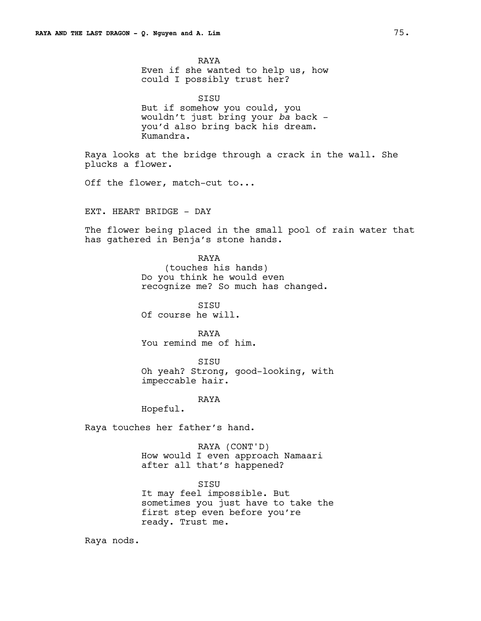RAYA Even if she wanted to help us, how could I possibly trust her?

SISU But if somehow you could, you wouldn't just bring your *ba* back you'd also bring back his dream. Kumandra.

Raya looks at the bridge through a crack in the wall. She plucks a flower.

Off the flower, match-cut to...

EXT. HEART BRIDGE - DAY

The flower being placed in the small pool of rain water that has gathered in Benja's stone hands.

# RAYA

(touches his hands) Do you think he would even recognize me? So much has changed.

SISU Of course he will.

RAYA You remind me of him.

SISU Oh yeah? Strong, good-looking, with impeccable hair.

RAYA

Hopeful.

Raya touches her father's hand.

RAYA (CONT'D) How would I even approach Namaari after all that's happened?

SISU It may feel impossible. But sometimes you just have to take the first step even before you're ready. Trust me.

Raya nods.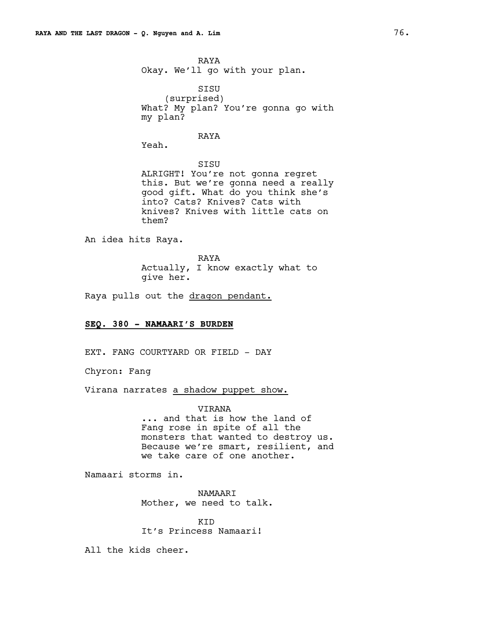```
RAYA
Okay. We'll go with your plan.
```
SISU (surprised) What? My plan? You're gonna go with my plan?

# RAYA

Yeah.

SISU ALRIGHT! You're not gonna regret this. But we're gonna need a really good gift. What do you think she's into? Cats? Knives? Cats with knives? Knives with little cats on them?

An idea hits Raya.

RAYA Actually, I know exactly what to give her.

Raya pulls out the dragon pendant.

# **SEQ. 380 - NAMAARI'S BURDEN**

EXT. FANG COURTYARD OR FIELD - DAY

Chyron: Fang

Virana narrates a shadow puppet show.

VIRANA ... and that is how the land of Fang rose in spite of all the monsters that wanted to destroy us. Because we're smart, resilient, and we take care of one another.

Namaari storms in.

NAMAARI Mother, we need to talk.

KID It's Princess Namaari!

All the kids cheer.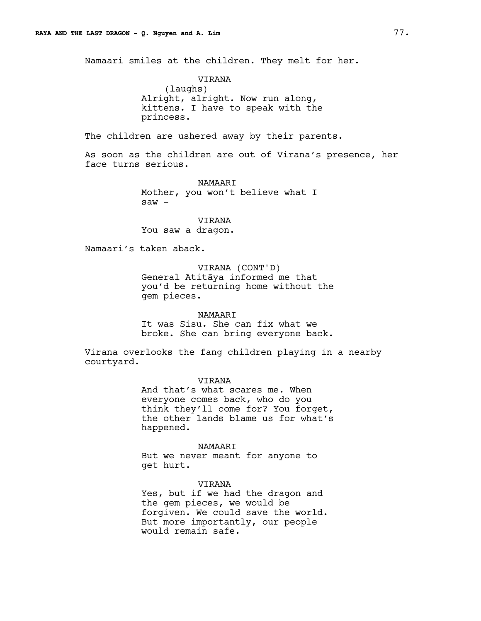Namaari smiles at the children. They melt for her.

VIRANA (laughs) Alright, alright. Now run along, kittens. I have to speak with the princess.

The children are ushered away by their parents.

As soon as the children are out of Virana's presence, her face turns serious.

> NAMAARI Mother, you won't believe what I saw -

VIRANA You saw a dragon.

Namaari's taken aback.

VIRANA (CONT'D) General Atitāya informed me that you'd be returning home without the gem pieces.

NAMAARI It was Sisu. She can fix what we broke. She can bring everyone back.

Virana overlooks the fang children playing in a nearby courtyard.

VIRANA

And that's what scares me. When everyone comes back, who do you think they'll come for? You forget, the other lands blame us for what's happened.

NAMAARI

But we never meant for anyone to get hurt.

VIRANA Yes, but if we had the dragon and the gem pieces, we would be forgiven. We could save the world. But more importantly, our people would remain safe.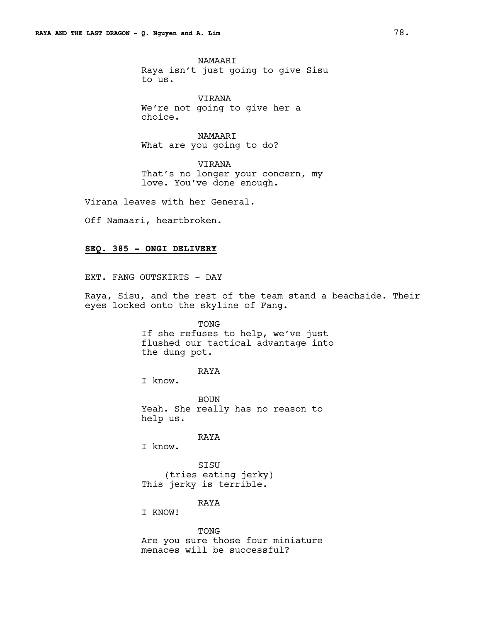NAMAARI Raya isn't just going to give Sisu to us.

VIRANA We're not going to give her a choice.

NAMAARI What are you going to do?

VIRANA That's no longer your concern, my love. You've done enough.

Virana leaves with her General.

Off Namaari, heartbroken.

# **SEQ. 385 - ONGI DELIVERY**

EXT. FANG OUTSKIRTS - DAY

Raya, Sisu, and the rest of the team stand a beachside. Their eyes locked onto the skyline of Fang.

TONG

If she refuses to help, we've just flushed our tactical advantage into the dung pot.

RAYA

I know.

BOUN Yeah. She really has no reason to help us.

RAYA

I know.

SISU (tries eating jerky) This jerky is terrible.

RAYA

I KNOW!

TONG Are you sure those four miniature menaces will be successful?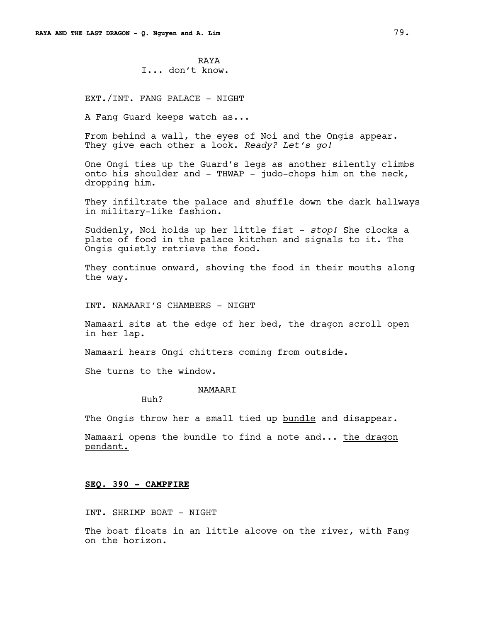RAYA I... don't know.

EXT./INT. FANG PALACE - NIGHT

A Fang Guard keeps watch as...

From behind a wall, the eyes of Noi and the Ongis appear. They give each other a look. *Ready? Let's go!*

One Ongi ties up the Guard's legs as another silently climbs onto his shoulder and - THWAP - judo-chops him on the neck, dropping him.

They infiltrate the palace and shuffle down the dark hallways in military-like fashion.

Suddenly, Noi holds up her little fist - *stop!* She clocks a plate of food in the palace kitchen and signals to it. The Ongis quietly retrieve the food.

They continue onward, shoving the food in their mouths along the way.

INT. NAMAARI'S CHAMBERS - NIGHT

Namaari sits at the edge of her bed, the dragon scroll open in her lap.

Namaari hears Ongi chitters coming from outside.

She turns to the window.

NAMAARI

Huh?

The Ongis throw her a small tied up bundle and disappear.

Namaari opens the bundle to find a note and... the dragon pendant.

#### **SEQ. 390 - CAMPFIRE**

INT. SHRIMP BOAT - NIGHT

The boat floats in an little alcove on the river, with Fang on the horizon.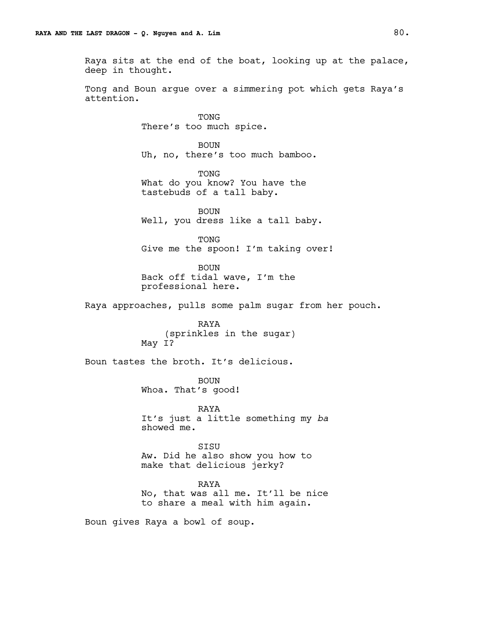Raya sits at the end of the boat, looking up at the palace, deep in thought.

Tong and Boun argue over a simmering pot which gets Raya's attention.

> TONG There's too much spice.

BOUN Uh, no, there's too much bamboo.

TONG What do you know? You have the tastebuds of a tall baby.

BOUN Well, you dress like a tall baby.

TONG Give me the spoon! I'm taking over!

BOUN Back off tidal wave, I'm the professional here.

Raya approaches, pulls some palm sugar from her pouch.

RAYA (sprinkles in the sugar) May I?

Boun tastes the broth. It's delicious.

BOUN Whoa. That's good!

RAYA It's just a little something my *ba*  showed me.

**STSU** Aw. Did he also show you how to make that delicious jerky?

RAYA No, that was all me. It'll be nice to share a meal with him again.

Boun gives Raya a bowl of soup.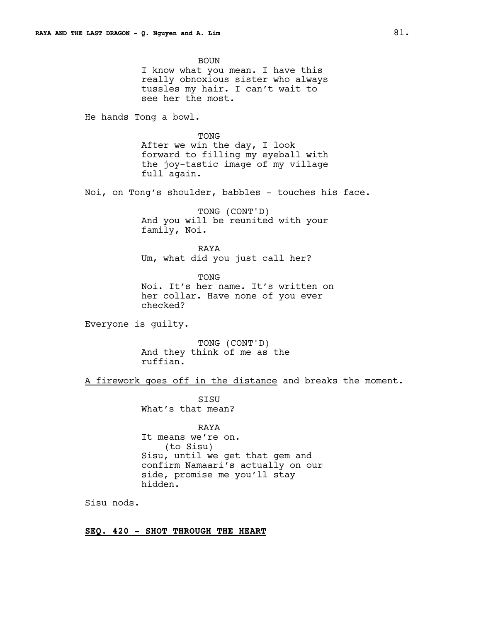BOUN I know what you mean. I have this really obnoxious sister who always tussles my hair. I can't wait to see her the most. He hands Tong a bowl. TONG After we win the day, I look forward to filling my eyeball with the joy-tastic image of my village full again. Noi, on Tong's shoulder, babbles - touches his face. TONG (CONT'D) And you will be reunited with your family, Noi. RAYA Um, what did you just call her? TONG Noi. It's her name. It's written on her collar. Have none of you ever checked? Everyone is guilty. TONG (CONT'D) And they think of me as the ruffian. A firework goes off in the distance and breaks the moment. SISU What's that mean? RAYA It means we're on. (to Sisu) Sisu, until we get that gem and confirm Namaari's actually on our side, promise me you'll stay hidden. Sisu nods. **SEQ. 420 - SHOT THROUGH THE HEART**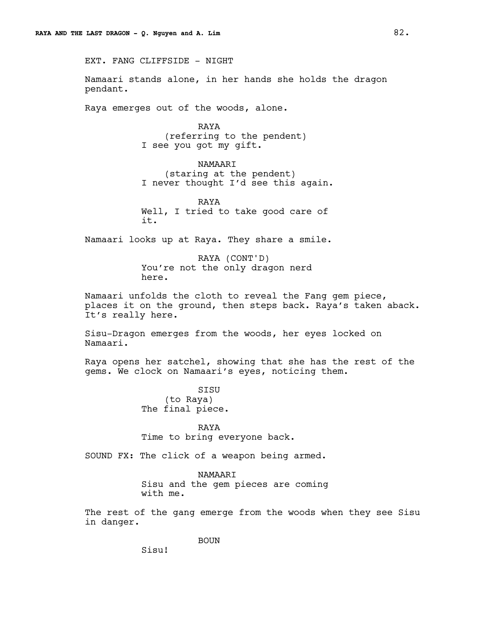EXT. FANG CLIFFSIDE - NIGHT

Namaari stands alone, in her hands she holds the dragon pendant.

Raya emerges out of the woods, alone.

RAYA (referring to the pendent) I see you got my gift.

NAMAARI (staring at the pendent) I never thought I'd see this again.

RAYA Well, I tried to take good care of it.

Namaari looks up at Raya. They share a smile.

RAYA (CONT'D) You're not the only dragon nerd here.

Namaari unfolds the cloth to reveal the Fang gem piece, places it on the ground, then steps back. Raya's taken aback. It's really here.

Sisu-Dragon emerges from the woods, her eyes locked on Namaari.

Raya opens her satchel, showing that she has the rest of the gems. We clock on Namaari's eyes, noticing them.

> SISU (to Raya) The final piece.

RAYA Time to bring everyone back.

SOUND FX: The click of a weapon being armed.

NAMAARI Sisu and the gem pieces are coming with me.

The rest of the gang emerge from the woods when they see Sisu in danger.

BOUN

Sisu!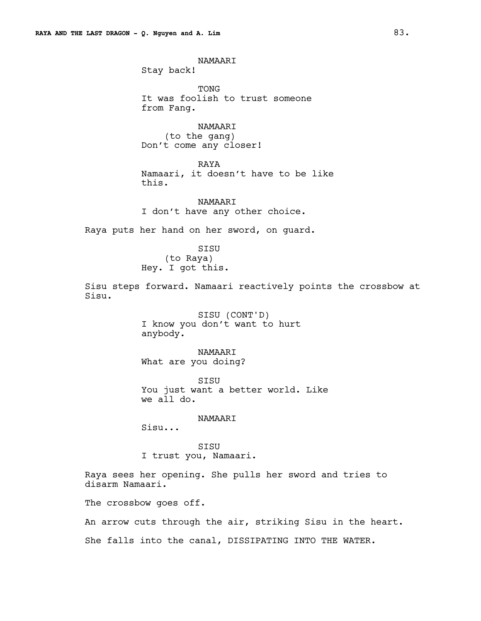NAMAARI Stay back!

TONG It was foolish to trust someone from Fang.

NAMAARI (to the gang) Don't come any closer!

RAYA Namaari, it doesn't have to be like this.

NAMAARI I don't have any other choice.

Raya puts her hand on her sword, on guard.

SISU (to Raya) Hey. I got this.

Sisu steps forward. Namaari reactively points the crossbow at Sisu.

> SISU (CONT'D) I know you don't want to hurt anybody.

NAMAARI What are you doing?

SISU You just want a better world. Like we all do.

NAMAARI

Sisu...

SISU I trust you, Namaari.

Raya sees her opening. She pulls her sword and tries to disarm Namaari.

The crossbow goes off.

An arrow cuts through the air, striking Sisu in the heart.

She falls into the canal, DISSIPATING INTO THE WATER.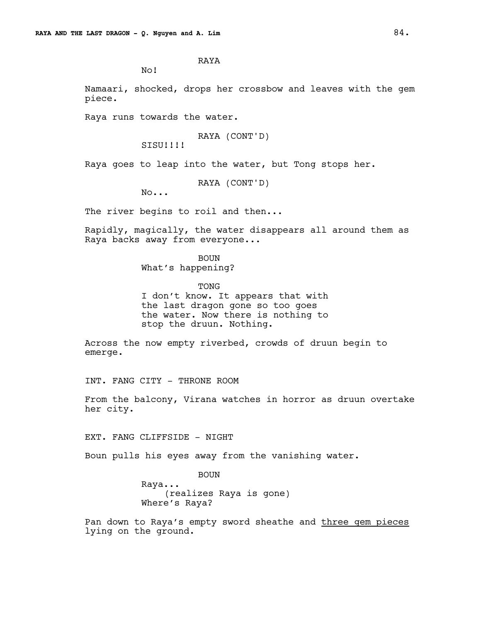RAYA

No!

Namaari, shocked, drops her crossbow and leaves with the gem piece.

Raya runs towards the water.

RAYA (CONT'D)

SISU!!!!

Raya goes to leap into the water, but Tong stops her.

RAYA (CONT'D)

No...

The river begins to roil and then...

Rapidly, magically, the water disappears all around them as Raya backs away from everyone...

> BOUN What's happening?

TONG I don't know. It appears that with the last dragon gone so too goes the water. Now there is nothing to stop the druun. Nothing.

Across the now empty riverbed, crowds of druun begin to emerge.

INT. FANG CITY - THRONE ROOM

From the balcony, Virana watches in horror as druun overtake her city.

EXT. FANG CLIFFSIDE - NIGHT

Boun pulls his eyes away from the vanishing water.

BOUN Raya... (realizes Raya is gone) Where's Raya?

Pan down to Raya's empty sword sheathe and three gem pieces lying on the ground.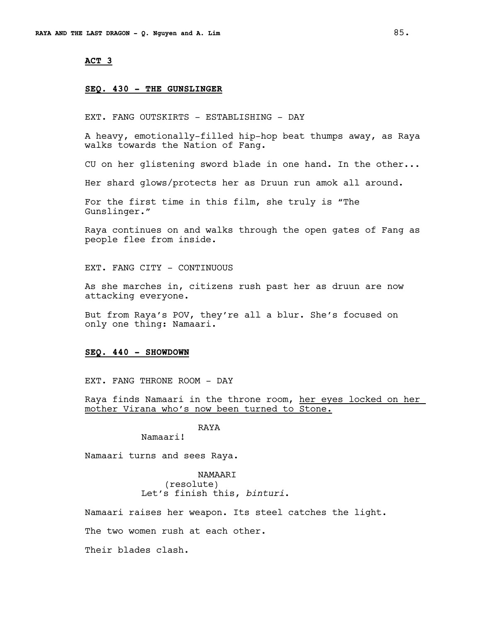## **ACT 3**

#### **SEQ. 430 - THE GUNSLINGER**

EXT. FANG OUTSKIRTS - ESTABLISHING - DAY

A heavy, emotionally-filled hip-hop beat thumps away, as Raya walks towards the Nation of Fang.

CU on her glistening sword blade in one hand. In the other...

Her shard glows/protects her as Druun run amok all around.

For the first time in this film, she truly is "The Gunslinger."

Raya continues on and walks through the open gates of Fang as people flee from inside.

EXT. FANG CITY - CONTINUOUS

As she marches in, citizens rush past her as druun are now attacking everyone.

But from Raya's POV, they're all a blur. She's focused on only one thing: Namaari.

#### **SEQ. 440 - SHOWDOWN**

EXT. FANG THRONE ROOM - DAY

Raya finds Namaari in the throne room, her eyes locked on her mother Virana who's now been turned to Stone.

RAYA

Namaari!

Namaari turns and sees Raya.

NAMAARI (resolute) Let's finish this, *binturi*.

Namaari raises her weapon. Its steel catches the light.

The two women rush at each other.

Their blades clash.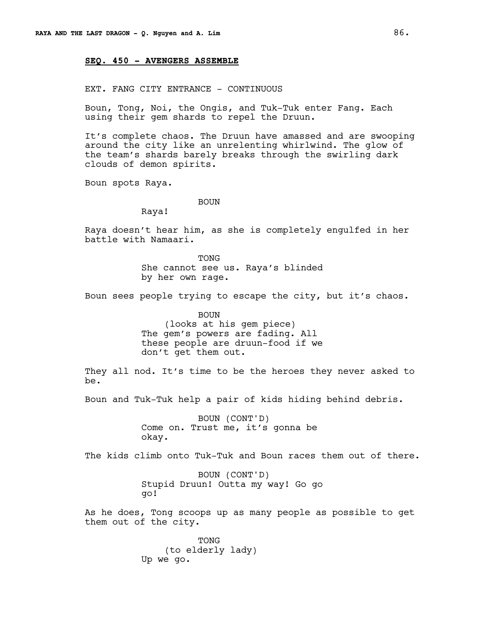# **SEQ. 450 - AVENGERS ASSEMBLE**

EXT. FANG CITY ENTRANCE - CONTINUOUS

Boun, Tong, Noi, the Ongis, and Tuk-Tuk enter Fang. Each using their gem shards to repel the Druun.

It's complete chaos. The Druun have amassed and are swooping around the city like an unrelenting whirlwind. The glow of the team's shards barely breaks through the swirling dark clouds of demon spirits.

Boun spots Raya.

BOUN

Raya!

Raya doesn't hear him, as she is completely engulfed in her battle with Namaari.

> TONG She cannot see us. Raya's blinded by her own rage.

Boun sees people trying to escape the city, but it's chaos.

BOUN (looks at his gem piece) The gem's powers are fading. All these people are druun-food if we don't get them out.

They all nod. It's time to be the heroes they never asked to be.

Boun and Tuk-Tuk help a pair of kids hiding behind debris.

BOUN (CONT'D) Come on. Trust me, it's gonna be okay.

The kids climb onto Tuk-Tuk and Boun races them out of there.

BOUN (CONT'D) Stupid Druun! Outta my way! Go go go!

As he does, Tong scoops up as many people as possible to get them out of the city.

> TONG (to elderly lady) Up we go.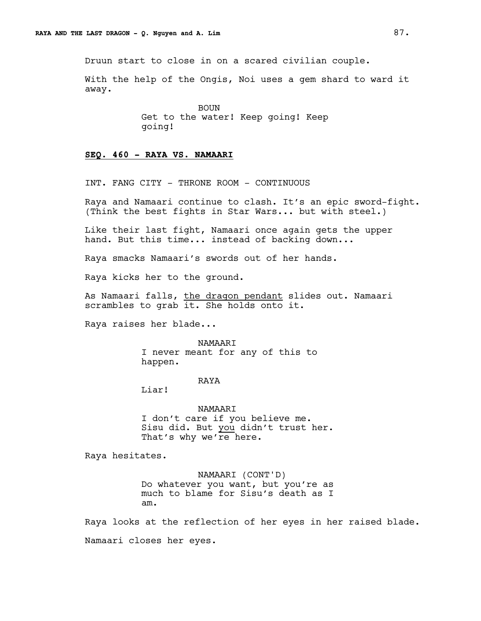Druun start to close in on a scared civilian couple.

With the help of the Ongis, Noi uses a gem shard to ward it away.

> BOUN Get to the water! Keep going! Keep going!

# **SEQ. 460 - RAYA VS. NAMAARI**

INT. FANG CITY - THRONE ROOM - CONTINUOUS

Raya and Namaari continue to clash. It's an epic sword-fight. (Think the best fights in Star Wars... but with steel.)

Like their last fight, Namaari once again gets the upper hand. But this time... instead of backing down...

Raya smacks Namaari's swords out of her hands.

Raya kicks her to the ground.

As Namaari falls, the dragon pendant slides out. Namaari scrambles to grab it. She holds onto it.

Raya raises her blade...

NAMAARI I never meant for any of this to happen.

# RAYA

Liar!

NAMAARI I don't care if you believe me. Sisu did. But you didn't trust her. That's why we're here.

Raya hesitates.

NAMAARI (CONT'D) Do whatever you want, but you're as much to blame for Sisu's death as I am.

Raya looks at the reflection of her eyes in her raised blade.

Namaari closes her eyes.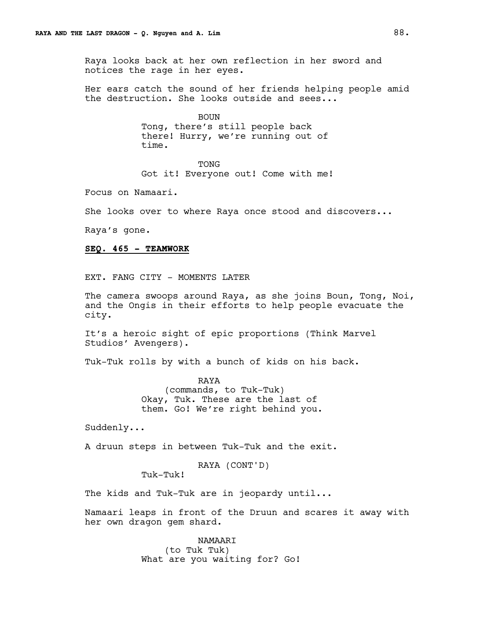Raya looks back at her own reflection in her sword and notices the rage in her eyes.

Her ears catch the sound of her friends helping people amid the destruction. She looks outside and sees...

> BOUN Tong, there's still people back there! Hurry, we're running out of time.

> > TONG

Got it! Everyone out! Come with me!

Focus on Namaari.

She looks over to where Raya once stood and discovers...

Raya's gone.

#### **SEQ. 465 - TEAMWORK**

EXT. FANG CITY - MOMENTS LATER

The camera swoops around Raya, as she joins Boun, Tong, Noi, and the Ongis in their efforts to help people evacuate the city.

It's a heroic sight of epic proportions (Think Marvel Studios' Avengers).

Tuk-Tuk rolls by with a bunch of kids on his back.

RAYA (commands, to Tuk-Tuk) Okay, Tuk. These are the last of them. Go! We're right behind you.

Suddenly...

A druun steps in between Tuk-Tuk and the exit.

RAYA (CONT'D)

Tuk-Tuk!

The kids and Tuk-Tuk are in jeopardy until...

Namaari leaps in front of the Druun and scares it away with her own dragon gem shard.

> NAMAARI (to Tuk Tuk) What are you waiting for? Go!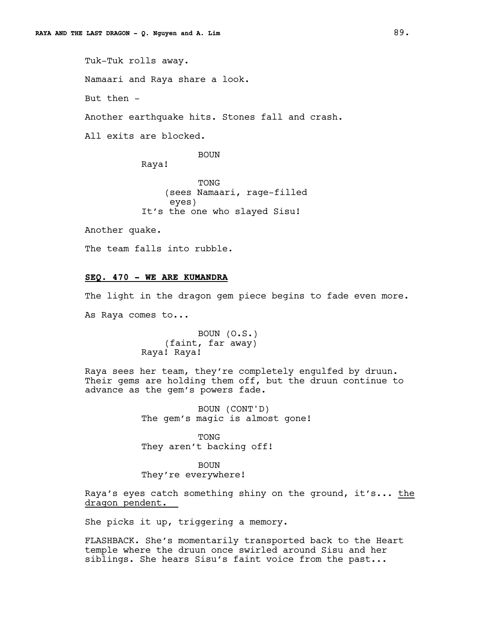Tuk-Tuk rolls away. Namaari and Raya share a look. But then - Another earthquake hits. Stones fall and crash. All exits are blocked.

BOUN

Raya!

TONG (sees Namaari, rage-filled eyes) It's the one who slayed Sisu!

Another quake.

The team falls into rubble.

# **SEQ. 470 - WE ARE KUMANDRA**

The light in the dragon gem piece begins to fade even more. As Raya comes to...

> BOUN (O.S.) (faint, far away) Raya! Raya!

Raya sees her team, they're completely engulfed by druun. Their gems are holding them off, but the druun continue to advance as the gem's powers fade.

> BOUN (CONT'D) The gem's magic is almost gone!

TONG They aren't backing off!

BOUN They're everywhere!

Raya's eyes catch something shiny on the ground, it's... the dragon pendent.

She picks it up, triggering a memory.

FLASHBACK. She's momentarily transported back to the Heart temple where the druun once swirled around Sisu and her siblings. She hears Sisu's faint voice from the past...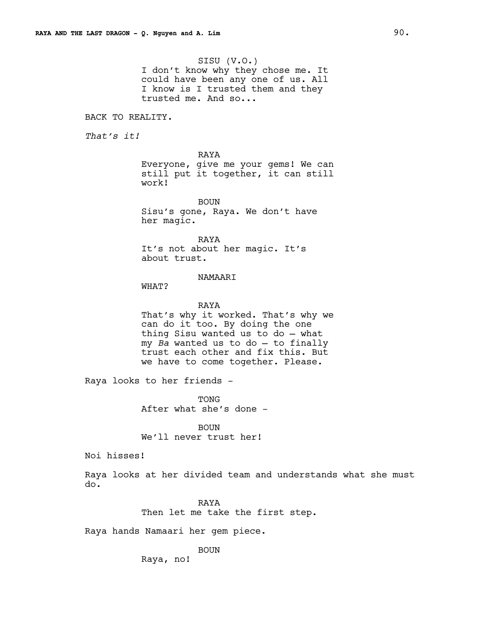SISU (V.O.) I don't know why they chose me. It could have been any one of us. All I know is I trusted them and they trusted me. And so...

BACK TO REALITY.

*That's it!*

RAYA Everyone, give me your gems! We can still put it together, it can still work!

BOUN Sisu's gone, Raya. We don't have her magic.

RAYA It's not about her magic. It's about trust.

#### NAMAARI

WHAT?

# RAYA

That's why it worked. That's why we can do it too. By doing the one thing Sisu wanted us to do — what my *Ba* wanted us to do — to finally trust each other and fix this. But we have to come together. Please.

Raya looks to her friends -

TONG After what she's done -

BOUN We'll never trust her!

Noi hisses!

Raya looks at her divided team and understands what she must do.

> RAYA Then let me take the first step.

Raya hands Namaari her gem piece.

# BOUN

Raya, no!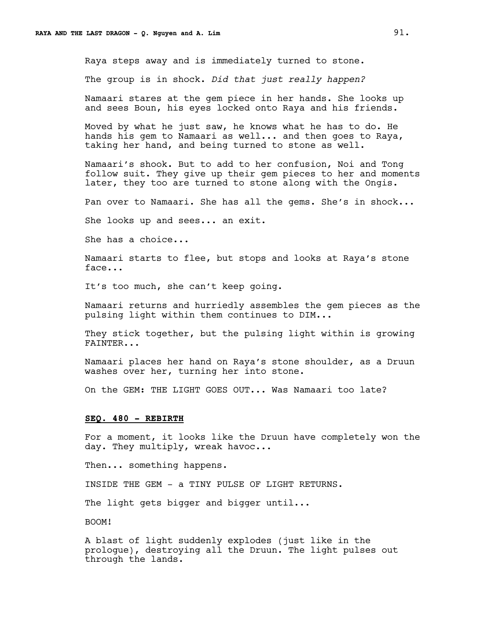Raya steps away and is immediately turned to stone.

The group is in shock. *Did that just really happen?*

Namaari stares at the gem piece in her hands. She looks up and sees Boun, his eyes locked onto Raya and his friends.

Moved by what he just saw, he knows what he has to do. He hands his gem to Namaari as well... and then goes to Raya, taking her hand, and being turned to stone as well.

Namaari's shook. But to add to her confusion, Noi and Tong follow suit. They give up their gem pieces to her and moments later, they too are turned to stone along with the Ongis.

Pan over to Namaari. She has all the gems. She's in shock...

She looks up and sees... an exit.

She has a choice...

Namaari starts to flee, but stops and looks at Raya's stone face...

It's too much, she can't keep going.

Namaari returns and hurriedly assembles the gem pieces as the pulsing light within them continues to DIM...

They stick together, but the pulsing light within is growing FAINTER...

Namaari places her hand on Raya's stone shoulder, as a Druun washes over her, turning her into stone.

On the GEM: THE LIGHT GOES OUT... Was Namaari too late?

# **SEQ. 480 - REBIRTH**

For a moment, it looks like the Druun have completely won the day. They multiply, wreak havoc...

Then... something happens.

INSIDE THE GEM - a TINY PULSE OF LIGHT RETURNS.

The light gets bigger and bigger until...

BOOM!

A blast of light suddenly explodes (just like in the prologue), destroying all the Druun. The light pulses out through the lands.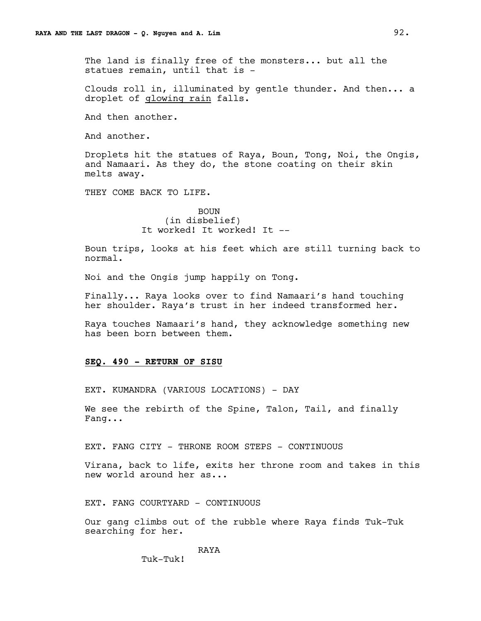The land is finally free of the monsters... but all the statues remain, until that is -

Clouds roll in, illuminated by gentle thunder. And then... a droplet of glowing rain falls.

And then another.

And another.

Droplets hit the statues of Raya, Boun, Tong, Noi, the Ongis, and Namaari. As they do, the stone coating on their skin melts away.

THEY COME BACK TO LIFE.

BOUN (in disbelief) It worked! It worked! It --

Boun trips, looks at his feet which are still turning back to normal.

Noi and the Ongis jump happily on Tong.

Finally... Raya looks over to find Namaari's hand touching her shoulder. Raya's trust in her indeed transformed her.

Raya touches Namaari's hand, they acknowledge something new has been born between them.

#### **SEQ. 490 - RETURN OF SISU**

EXT. KUMANDRA (VARIOUS LOCATIONS) - DAY

We see the rebirth of the Spine, Talon, Tail, and finally Fang...

EXT. FANG CITY - THRONE ROOM STEPS - CONTINUOUS

Virana, back to life, exits her throne room and takes in this new world around her as...

EXT. FANG COURTYARD - CONTINUOUS

Our gang climbs out of the rubble where Raya finds Tuk-Tuk searching for her.

# RAYA

Tuk-Tuk!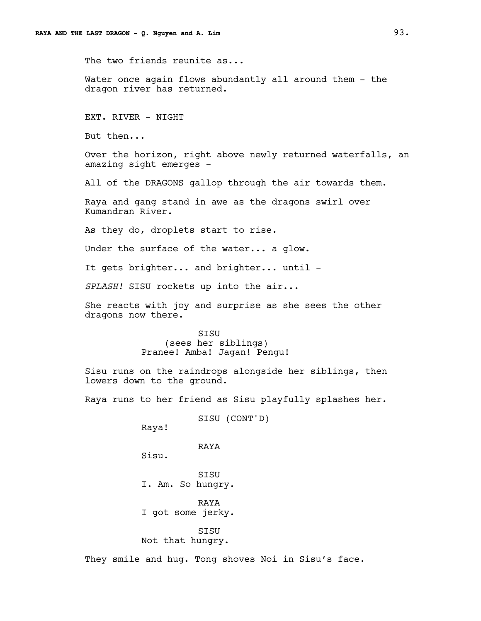The two friends reunite as...

Water once again flows abundantly all around them - the dragon river has returned.

EXT. RIVER - NIGHT

But then...

Over the horizon, right above newly returned waterfalls, an amazing sight emerges -

All of the DRAGONS gallop through the air towards them.

Raya and gang stand in awe as the dragons swirl over Kumandran River.

As they do, droplets start to rise.

Under the surface of the water... a glow.

It gets brighter... and brighter... until -

*SPLASH!* SISU rockets up into the air...

She reacts with joy and surprise as she sees the other dragons now there.

> SISU (sees her siblings) Pranee! Amba! Jagan! Pengu!

Sisu runs on the raindrops alongside her siblings, then lowers down to the ground.

Raya runs to her friend as Sisu playfully splashes her.

SISU (CONT'D) Raya! RAYA Sisu. SISU I. Am. So hungry. RAYA I got some jerky. SISU Not that hungry.

They smile and hug. Tong shoves Noi in Sisu's face.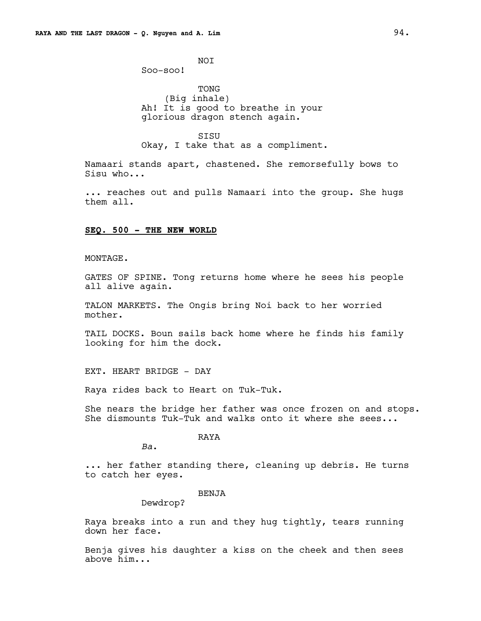NOI Soo-soo!

TONG (Big inhale) Ah! It is good to breathe in your glorious dragon stench again.

SISU Okay, I take that as a compliment.

Namaari stands apart, chastened. She remorsefully bows to Sisu who...

... reaches out and pulls Namaari into the group. She hugs them all.

## **SEQ. 500 - THE NEW WORLD**

#### MONTAGE.

GATES OF SPINE. Tong returns home where he sees his people all alive again.

TALON MARKETS. The Ongis bring Noi back to her worried mother.

TAIL DOCKS. Boun sails back home where he finds his family looking for him the dock.

EXT. HEART BRIDGE - DAY

Raya rides back to Heart on Tuk-Tuk.

She nears the bridge her father was once frozen on and stops. She dismounts Tuk-Tuk and walks onto it where she sees...

# RAYA

*Ba*.

... her father standing there, cleaning up debris. He turns to catch her eyes.

# BENJA

Dewdrop?

Raya breaks into a run and they hug tightly, tears running down her face.

Benja gives his daughter a kiss on the cheek and then sees above him...